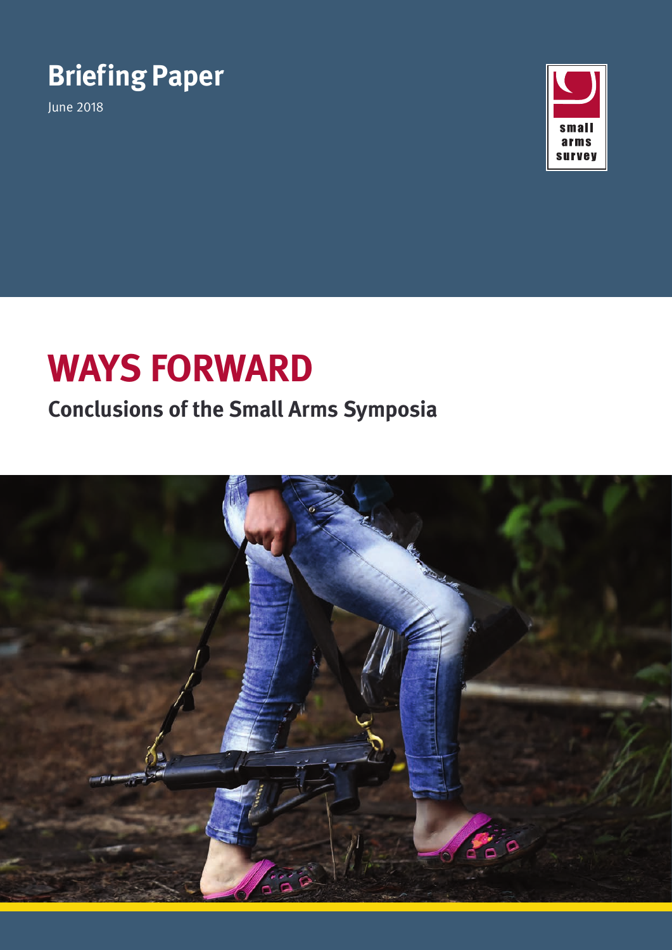# **Briefing Paper**

June 2018



# **Ways Forward**

## **Conclusions of the Small Arms Symposia**

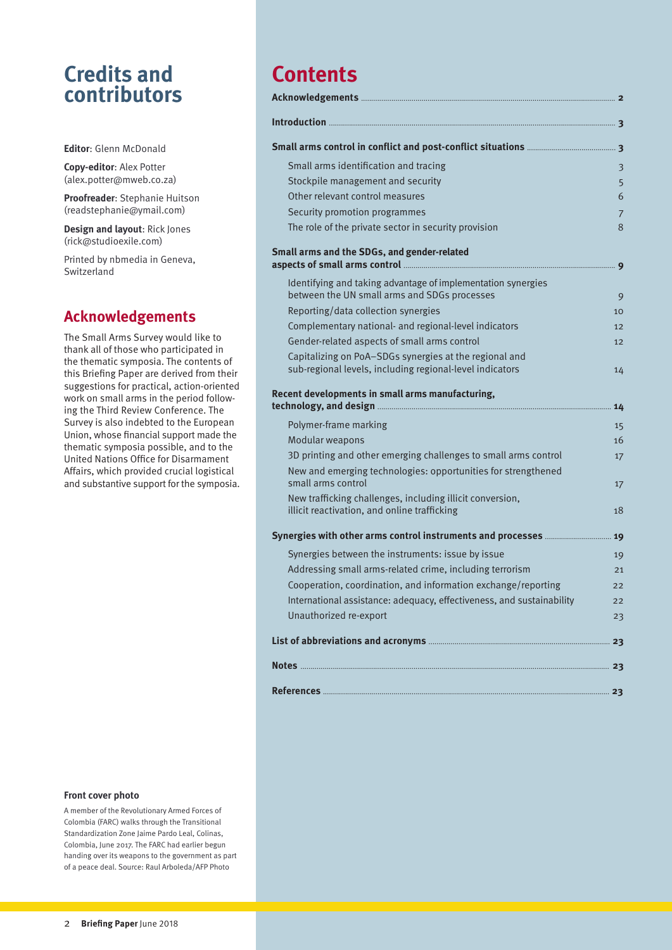## **Credits and contributors**

**Editor**: Glenn McDonald

**Copy-editor**: Alex Potter ([alex.potter@mweb.co.za\)](mailto:alex.potter%40mweb.co.za?subject=)

**Proofreader**: Stephanie Huitson ([readstephanie@ymail.com](mailto:readstephanie%40ymail.com?subject=))

**Design and layout**: Rick Jones ([rick@studioexile.com](mailto:rick%40studioexile.com?subject=Enquiry))

Printed by nbmedia in Geneva, Switzerland

### **Acknowledgements**

The Small Arms Survey would like to thank all of those who participated in the thematic symposia. The contents of this Briefing Paper are derived from their suggestions for practical, action-oriented work on small arms in the period following the Third Review Conference. The Survey is also indebted to the European Union, whose financial support made the thematic symposia possible, and to the United Nations Office for Disarmament Affairs, which provided crucial logistical and substantive support for the symposia.

## **Contents**

| Introduction                                                                                                       |    |
|--------------------------------------------------------------------------------------------------------------------|----|
|                                                                                                                    |    |
| Small arms identification and tracing                                                                              | 3  |
| Stockpile management and security                                                                                  | 5  |
| Other relevant control measures                                                                                    | 6  |
| Security promotion programmes                                                                                      | 7  |
| The role of the private sector in security provision                                                               | 8  |
| Small arms and the SDGs, and gender-related                                                                        | 9  |
| Identifying and taking advantage of implementation synergies                                                       |    |
| between the UN small arms and SDGs processes                                                                       | 9  |
| Reporting/data collection synergies                                                                                | 10 |
| Complementary national- and regional-level indicators                                                              | 12 |
| Gender-related aspects of small arms control                                                                       | 12 |
| Capitalizing on PoA-SDGs synergies at the regional and<br>sub-regional levels, including regional-level indicators | 14 |
| Recent developments in small arms manufacturing,                                                                   | 14 |
| Polymer-frame marking                                                                                              | 15 |
| Modular weapons                                                                                                    | 16 |
| 3D printing and other emerging challenges to small arms control                                                    | 17 |
| New and emerging technologies: opportunities for strengthened<br>small arms control                                | 17 |
| New trafficking challenges, including illicit conversion,                                                          |    |
| illicit reactivation, and online trafficking                                                                       | 18 |
| Synergies with other arms control instruments and processes                                                        | 19 |
| Synergies between the instruments: issue by issue                                                                  | 19 |
| Addressing small arms-related crime, including terrorism                                                           | 21 |
| Cooperation, coordination, and information exchange/reporting                                                      | 22 |
| International assistance: adequacy, effectiveness, and sustainability                                              | 22 |
| Unauthorized re-export                                                                                             | 23 |
|                                                                                                                    | 23 |
|                                                                                                                    |    |
|                                                                                                                    |    |
|                                                                                                                    |    |

#### **Front cover photo**

A member of the Revolutionary Armed Forces of Colombia (FARC) walks through the Transitional Standardization Zone Jaime Pardo Leal, Colinas, Colombia, June 2017. The FARC had earlier begun handing over its weapons to the government as part of a peace deal. Source: Raul Arboleda/AFP Photo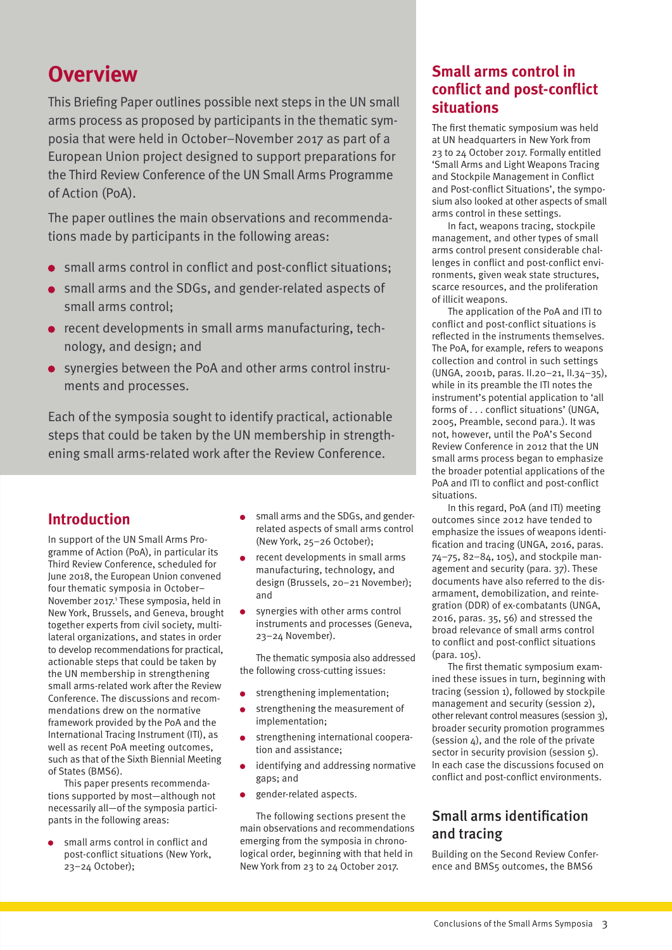## <span id="page-2-0"></span>**Overview**

This Briefing Paper outlines possible next steps in the UN small arms process as proposed by participants in the thematic symposia that were held in October–November 2017 as part of a European Union project designed to support preparations for the Third Review Conference of the UN Small Arms Programme of Action (PoA).

The paper outlines the main observations and recommendations made by participants in the following areas:

- small arms control in conflict and post-conflict situations;
- small arms and the SDGs, and gender-related aspects of small arms control;
- **•** recent developments in small arms manufacturing, technology, and design; and
- synergies between the PoA and other arms control instruments and processes.

Each of the symposia sought to identify practical, actionable steps that could be taken by the UN membership in strengthening small arms-related work after the Review Conference.

### **Introduction**

In support of the UN Small Arms Programme of Action (PoA), in particular its Third Review Conference, scheduled for June 2018, the European Union convened four thematic symposia in October– November 2017.<sup>1</sup> These symposia, held in New York, Brussels, and Geneva, brought together experts from civil society, multilateral organizations, and states in order to develop recommendations for practical, actionable steps that could be taken by the UN membership in strengthening small arms-related work after the Review Conference. The discussions and recommendations drew on the normative framework provided by the PoA and the International Tracing Instrument (ITI), as well as recent PoA meeting outcomes, such as that of the Sixth Biennial Meeting of States (BMS6).

This paper presents recommendations supported by most—although not necessarily all—of the symposia participants in the following areas:

small arms control in conflict and post-conflict situations (New York, 23–24 October);

- small arms and the SDGs, and genderrelated aspects of small arms control (New York, 25–26 October);
- recent developments in small arms manufacturing, technology, and design (Brussels, 20–21 November); and
- synergies with other arms control instruments and processes (Geneva, 23–24 November).

The thematic symposia also addressed the following cross-cutting issues:

- strengthening implementation;
- strengthening the measurement of implementation;
- strengthening international cooperation and assistance;
- identifying and addressing normative gaps; and
- gender-related aspects.

The following sections present the main observations and recommendations emerging from the symposia in chronological order, beginning with that held in New York from 23 to 24 October 2017.

### **Small arms control in conflict and post-conflict situations**

The first thematic symposium was held at UN headquarters in New York from 23 to 24 October 2017. Formally entitled 'Small Arms and Light Weapons Tracing and Stockpile Management in Conflict and Post-conflict Situations', the symposium also looked at other aspects of small arms control in these settings.

In fact, weapons tracing, stockpile management, and other types of small arms control present considerable challenges in conflict and post-conflict environments, given weak state structures, scarce resources, and the proliferation of illicit weapons.

The application of the PoA and ITI to conflict and post-conflict situations is reflected in the instruments themselves. The PoA, for example, refers to weapons collection and control in such settings (UNGA, 2001b, paras. II.20–21, II.34–35), while in its preamble the ITI notes the instrument's potential application to 'all forms of . . . conflict situations' (UNGA, 2005, Preamble, second para.). It was not, however, until the PoA's Second Review Conference in 2012 that the UN small arms process began to emphasize the broader potential applications of the PoA and ITI to conflict and post-conflict situations.

In this regard, PoA (and ITI) meeting outcomes since 2012 have tended to emphasize the issues of weapons identification and tracing (UNGA, 2016, paras. 74–75, 82–84, 105), and stockpile management and security (para. 37). These documents have also referred to the disarmament, demobilization, and reintegration (DDR) of ex-combatants (UNGA, 2016, paras. 35, 56) and stressed the broad relevance of small arms control to conflict and post-conflict situations (para. 105).

The first thematic symposium examined these issues in turn, beginning with tracing (session 1), followed by stockpile management and security (session 2), other relevant control measures (session 3), broader security promotion programmes (session 4), and the role of the private sector in security provision (session 5). In each case the discussions focused on conflict and post-conflict environments.

### Small arms identification and tracing

Building on the Second Review Conference and BMS5 outcomes, the BMS6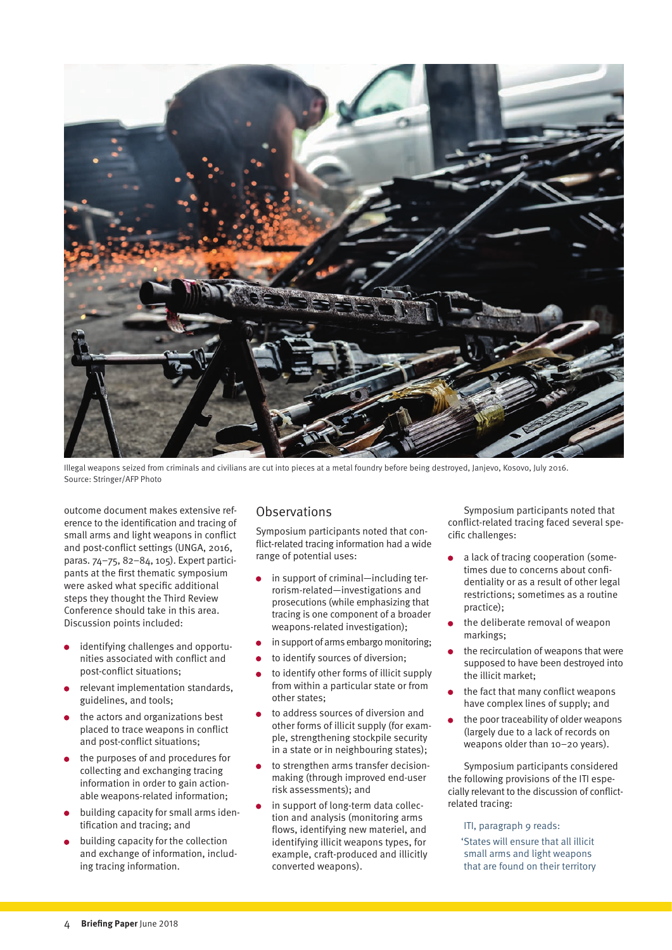

Illegal weapons seized from criminals and civilians are cut into pieces at a metal foundry before being destroyed, Janjevo, Kosovo, July 2016. Source: Stringer/AFP Photo

outcome document makes extensive reference to the identification and tracing of small arms and light weapons in conflict and post-conflict settings (UNGA, 2016, paras. 74–75, 82–84, 105). Expert participants at the first thematic symposium were asked what specific additional steps they thought the Third Review Conference should take in this area. Discussion points included:

- identifying challenges and opportunities associated with conflict and post-conflict situations;
- relevant implementation standards, guidelines, and tools;
- the actors and organizations best placed to trace weapons in conflict and post-conflict situations;
- the purposes of and procedures for collecting and exchanging tracing information in order to gain actionable weapons-related information;
- building capacity for small arms identification and tracing; and
- building capacity for the collection and exchange of information, including tracing information.

### **Observations**

Symposium participants noted that conflict-related tracing information had a wide range of potential uses:

- in support of criminal—including terrorism-related—investigations and prosecutions (while emphasizing that tracing is one component of a broader weapons-related investigation);
- in support of arms embargo monitoring;
- to identify sources of diversion;
- to identify other forms of illicit supply from within a particular state or from other states;
- to address sources of diversion and other forms of illicit supply (for example, strengthening stockpile security in a state or in neighbouring states);
- to strengthen arms transfer decisionmaking (through improved end-user risk assessments); and
- in support of long-term data collection and analysis (monitoring arms flows, identifying new materiel, and identifying illicit weapons types, for example, craft-produced and illicitly converted weapons).

Symposium participants noted that conflict-related tracing faced several specific challenges:

- a lack of tracing cooperation (sometimes due to concerns about confidentiality or as a result of other legal restrictions; sometimes as a routine practice);
- the deliberate removal of weapon markings;
- the recirculation of weapons that were supposed to have been destroyed into the illicit market;
- the fact that many conflict weapons have complex lines of supply; and
- the poor traceability of older weapons (largely due to a lack of records on weapons older than 10–20 years).

Symposium participants considered the following provisions of the ITI especially relevant to the discussion of conflictrelated tracing:

#### ITI, paragraph 9 reads:

 'States will ensure that all illicit small arms and light weapons that are found on their territory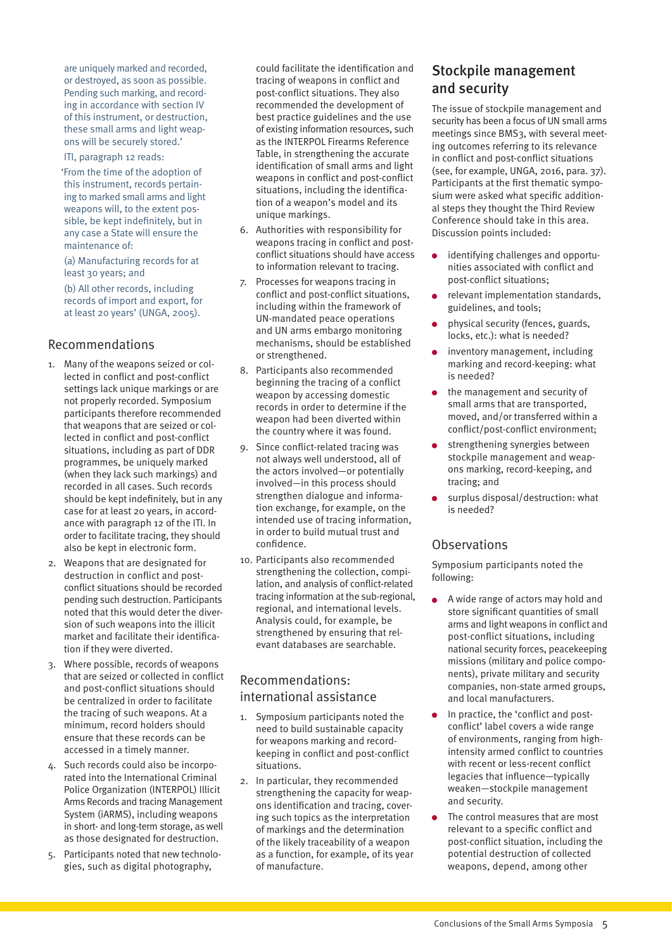<span id="page-4-0"></span>are uniquely marked and recorded, or destroyed, as soon as possible. Pending such marking, and recording in accordance with section IV of this instrument, or destruction, these small arms and light weapons will be securely stored.'

#### ITI, paragraph 12 reads:

 'From the time of the adoption of this instrument, records pertaining to marked small arms and light weapons will, to the extent possible, be kept indefinitely, but in any case a State will ensure the maintenance of:

(a) Manufacturing records for at least 30 years; and

(b) All other records, including records of import and export, for at least 20 years' (UNGA, 2005).

#### Recommendations

- 1. Many of the weapons seized or collected in conflict and post-conflict settings lack unique markings or are not properly recorded. Symposium participants therefore recommended that weapons that are seized or collected in conflict and post-conflict situations, including as part of DDR programmes, be uniquely marked (when they lack such markings) and recorded in all cases. Such records should be kept indefinitely, but in any case for at least 20 years, in accordance with paragraph 12 of the ITI. In order to facilitate tracing, they should also be kept in electronic form.
- 2. Weapons that are designated for destruction in conflict and postconflict situations should be recorded pending such destruction. Participants noted that this would deter the diversion of such weapons into the illicit market and facilitate their identification if they were diverted.
- 3. Where possible, records of weapons that are seized or collected in conflict and post-conflict situations should be centralized in order to facilitate the tracing of such weapons. At a minimum, record holders should ensure that these records can be accessed in a timely manner.
- 4. Such records could also be incorporated into the International Criminal Police Organization (INTERPOL) Illicit Arms Records and tracing Management System (iARMS), including weapons in short- and long-term storage, as well as those designated for destruction.
- 5. Participants noted that new technologies, such as digital photography,

could facilitate the identification and tracing of weapons in conflict and post-conflict situations. They also recommended the development of best practice guidelines and the use of existing information resources, such as the INTERPOL Firearms Reference Table, in strengthening the accurate identification of small arms and light weapons in conflict and post-conflict situations, including the identification of a weapon's model and its unique markings.

- 6. Authorities with responsibility for weapons tracing in conflict and postconflict situations should have access to information relevant to tracing.
- 7. Processes for weapons tracing in conflict and post-conflict situations, including within the framework of UN-mandated peace operations and UN arms embargo monitoring mechanisms, should be established or strengthened.
- 8. Participants also recommended beginning the tracing of a conflict weapon by accessing domestic records in order to determine if the weapon had been diverted within the country where it was found.
- 9. Since conflict-related tracing was not always well understood, all of the actors involved—or potentially involved—in this process should strengthen dialogue and information exchange, for example, on the intended use of tracing information, in order to build mutual trust and confidence.
- 10. Participants also recommended strengthening the collection, compilation, and analysis of conflict-related tracing information at the sub-regional, regional, and international levels. Analysis could, for example, be strengthened by ensuring that relevant databases are searchable.

### Recommendations: international assistance

- 1. Symposium participants noted the need to build sustainable capacity for weapons marking and recordkeeping in conflict and post-conflict situations.
- 2. In particular, they recommended strengthening the capacity for weapons identification and tracing, covering such topics as the interpretation of markings and the determination of the likely traceability of a weapon as a function, for example, of its year of manufacture.

### Stockpile management and security

The issue of stockpile management and security has been a focus of UN small arms meetings since BMS3, with several meeting outcomes referring to its relevance in conflict and post-conflict situations (see, for example, UNGA, 2016, para. 37). Participants at the first thematic symposium were asked what specific additional steps they thought the Third Review Conference should take in this area. Discussion points included:

- identifying challenges and opportu- $\bullet$ nities associated with conflict and post-conflict situations;
- relevant implementation standards, guidelines, and tools;
- physical security (fences, guards, locks, etc.): what is needed?
- inventory management, including marking and record-keeping: what is needed?
- the management and security of small arms that are transported, moved, and/or transferred within a conflict/post-conflict environment;
- strengthening synergies between stockpile management and weapons marking, record-keeping, and tracing; and
- surplus disposal/destruction: what is needed?

#### **Observations**

Symposium participants noted the following:

- A wide range of actors may hold and store significant quantities of small arms and light weapons in conflict and post-conflict situations, including national security forces, peacekeeping missions (military and police components), private military and security companies, non-state armed groups, and local manufacturers.
- In practice, the 'conflict and postconflict' label covers a wide range of environments, ranging from highintensity armed conflict to countries with recent or less-recent conflict legacies that influence—typically weaken—stockpile management and security.
- The control measures that are most relevant to a specific conflict and post-conflict situation, including the potential destruction of collected weapons, depend, among other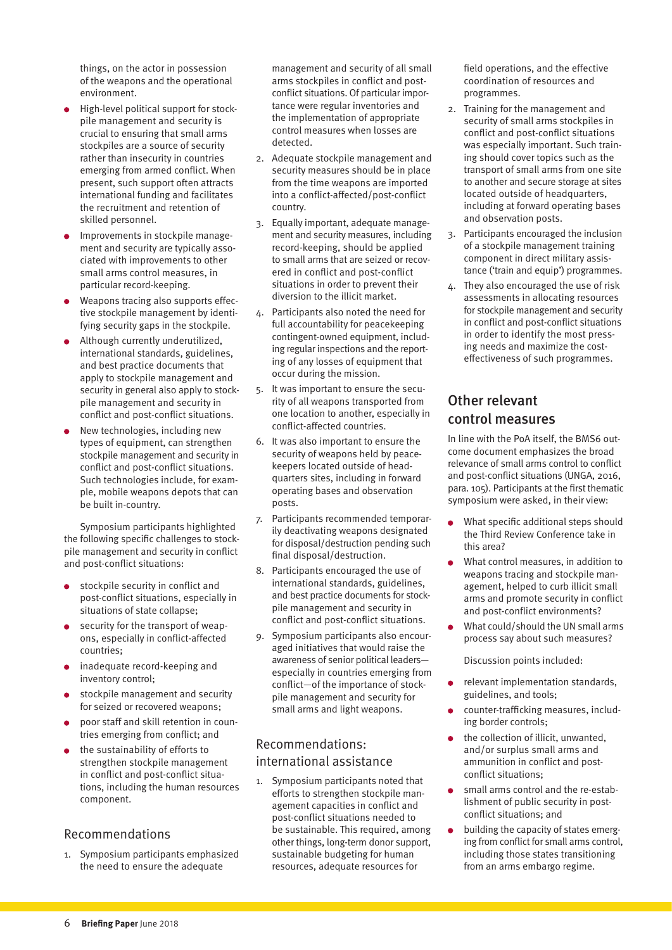<span id="page-5-0"></span>things, on the actor in possession of the weapons and the operational environment.

- High-level political support for stockpile management and security is crucial to ensuring that small arms stockpiles are a source of security rather than insecurity in countries emerging from armed conflict. When present, such support often attracts international funding and facilitates the recruitment and retention of skilled personnel.
- Improvements in stockpile management and security are typically associated with improvements to other small arms control measures, in particular record-keeping.
- Weapons tracing also supports effective stockpile management by identifying security gaps in the stockpile.
- **Although currently underutilized,** international standards, guidelines, and best practice documents that apply to stockpile management and security in general also apply to stockpile management and security in conflict and post-conflict situations.
- New technologies, including new types of equipment, can strengthen stockpile management and security in conflict and post-conflict situations. Such technologies include, for example, mobile weapons depots that can be built in-country.

Symposium participants highlighted the following specific challenges to stockpile management and security in conflict and post-conflict situations:

- stockpile security in conflict and post-conflict situations, especially in situations of state collapse;
- security for the transport of weapons, especially in conflict-affected countries;
- inadequate record-keeping and inventory control;
- stockpile management and security for seized or recovered weapons;
- poor staff and skill retention in countries emerging from conflict; and
- the sustainability of efforts to strengthen stockpile management in conflict and post-conflict situations, including the human resources component.

#### Recommendations

1. Symposium participants emphasized the need to ensure the adequate

management and security of all small arms stockpiles in conflict and postconflict situations. Of particular importance were regular inventories and the implementation of appropriate control measures when losses are detected.

- 2. Adequate stockpile management and security measures should be in place from the time weapons are imported into a conflict-affected/post-conflict country.
- 3. Equally important, adequate management and security measures, including record-keeping, should be applied to small arms that are seized or recovered in conflict and post-conflict situations in order to prevent their diversion to the illicit market.
- 4. Participants also noted the need for full accountability for peacekeeping contingent-owned equipment, including regular inspections and the reporting of any losses of equipment that occur during the mission.
- 5. It was important to ensure the security of all weapons transported from one location to another, especially in conflict-affected countries.
- 6. It was also important to ensure the security of weapons held by peacekeepers located outside of headquarters sites, including in forward operating bases and observation posts.
- 7. Participants recommended temporarily deactivating weapons designated for disposal/destruction pending such final disposal/destruction.
- 8. Participants encouraged the use of international standards, guidelines, and best practice documents for stockpile management and security in conflict and post-conflict situations.
- 9. Symposium participants also encouraged initiatives that would raise the awareness of senior political leaders especially in countries emerging from conflict—of the importance of stockpile management and security for small arms and light weapons.

### Recommendations: international assistance

1. Symposium participants noted that efforts to strengthen stockpile management capacities in conflict and post-conflict situations needed to be sustainable. This required, among other things, long-term donor support, sustainable budgeting for human resources, adequate resources for

field operations, and the effective coordination of resources and programmes.

- 2. Training for the management and security of small arms stockpiles in conflict and post-conflict situations was especially important. Such training should cover topics such as the transport of small arms from one site to another and secure storage at sites located outside of headquarters, including at forward operating bases and observation posts.
- 3. Participants encouraged the inclusion of a stockpile management training component in direct military assistance ('train and equip') programmes.
- 4. They also encouraged the use of risk assessments in allocating resources for stockpile management and security in conflict and post-conflict situations in order to identify the most pressing needs and maximize the costeffectiveness of such programmes.

### Other relevant control measures

In line with the PoA itself, the BMS6 outcome document emphasizes the broad relevance of small arms control to conflict and post-conflict situations (UNGA, 2016, para. 105). Participants at the first thematic symposium were asked, in their view:

- What specific additional steps should the Third Review Conference take in this area?
- What control measures, in addition to weapons tracing and stockpile management, helped to curb illicit small arms and promote security in conflict and post-conflict environments?
- What could/should the UN small arms process say about such measures?

Discussion points included:

- relevant implementation standards, guidelines, and tools;
- counter-trafficking measures, including border controls;
- the collection of illicit, unwanted, and/or surplus small arms and ammunition in conflict and postconflict situations;
- small arms control and the re-estab- $\bullet$ lishment of public security in postconflict situations; and
- building the capacity of states emerg- $\bullet$ ing from conflict for small arms control, including those states transitioning from an arms embargo regime.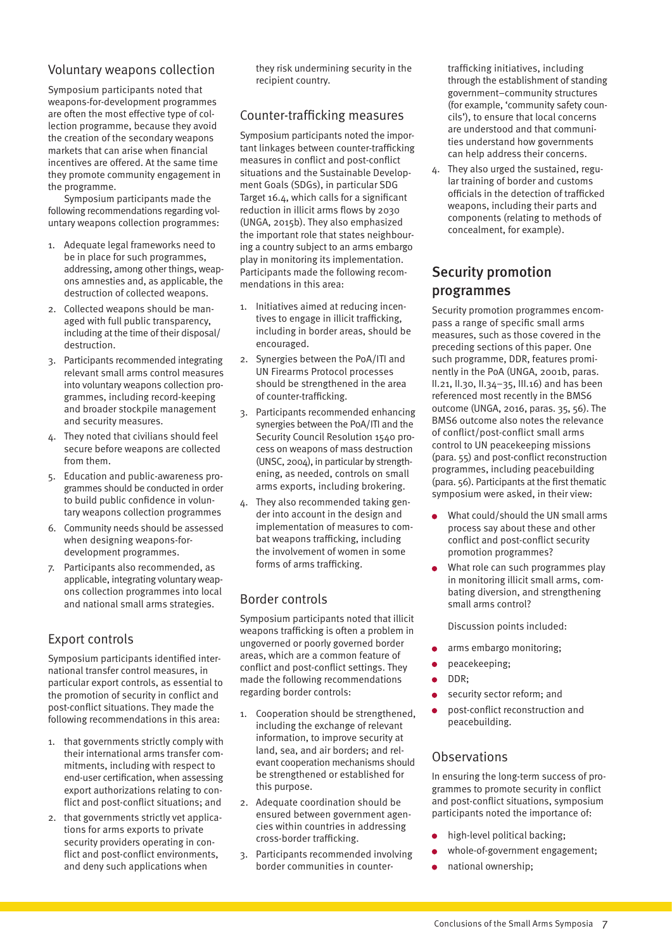#### <span id="page-6-0"></span>Voluntary weapons collection

Symposium participants noted that weapons-for-development programmes are often the most effective type of collection programme, because they avoid the creation of the secondary weapons markets that can arise when financial incentives are offered. At the same time they promote community engagement in the programme.

Symposium participants made the following recommendations regarding voluntary weapons collection programmes:

- 1. Adequate legal frameworks need to be in place for such programmes, addressing, among other things, weapons amnesties and, as applicable, the destruction of collected weapons.
- 2. Collected weapons should be managed with full public transparency, including at the time of their disposal/ destruction.
- 3. Participants recommended integrating relevant small arms control measures into voluntary weapons collection programmes, including record-keeping and broader stockpile management and security measures.
- 4. They noted that civilians should feel secure before weapons are collected from them.
- 5. Education and public-awareness programmes should be conducted in order to build public confidence in voluntary weapons collection programmes
- 6. Community needs should be assessed when designing weapons-fordevelopment programmes.
- 7. Participants also recommended, as applicable, integrating voluntary weapons collection programmes into local and national small arms strategies.

### Export controls

Symposium participants identified international transfer control measures, in particular export controls, as essential to the promotion of security in conflict and post-conflict situations. They made the following recommendations in this area:

- 1. that governments strictly comply with their international arms transfer commitments, including with respect to end-user certification, when assessing export authorizations relating to conflict and post-conflict situations; and
- 2. that governments strictly vet applications for arms exports to private security providers operating in conflict and post-conflict environments, and deny such applications when

they risk undermining security in the recipient country.

### Counter-trafficking measures

Symposium participants noted the important linkages between counter-trafficking measures in conflict and post-conflict situations and the Sustainable Development Goals (SDGs), in particular SDG Target 16.4, which calls for a significant reduction in illicit arms flows by 2030 (UNGA, 2015b). They also emphasized the important role that states neighbouring a country subject to an arms embargo play in monitoring its implementation. Participants made the following recommendations in this area:

- 1. Initiatives aimed at reducing incentives to engage in illicit trafficking, including in border areas, should be encouraged.
- 2. Synergies between the PoA/ITI and UN Firearms Protocol processes should be strengthened in the area of counter-trafficking.
- 3. Participants recommended enhancing synergies between the PoA/ITI and the Security Council Resolution 1540 process on weapons of mass destruction (UNSC, 2004), in particular by strengthening, as needed, controls on small arms exports, including brokering.
- 4. They also recommended taking gender into account in the design and implementation of measures to combat weapons trafficking, including the involvement of women in some forms of arms trafficking.

### Border controls

Symposium participants noted that illicit weapons trafficking is often a problem in ungoverned or poorly governed border areas, which are a common feature of conflict and post-conflict settings. They made the following recommendations regarding border controls:

- 1. Cooperation should be strengthened, including the exchange of relevant information, to improve security at land, sea, and air borders; and relevant cooperation mechanisms should be strengthened or established for this purpose.
- 2. Adequate coordination should be ensured between government agencies within countries in addressing cross-border trafficking.
- 3. Participants recommended involving border communities in counter-

trafficking initiatives, including through the establishment of standing government–community structures (for example, 'community safety councils'), to ensure that local concerns are understood and that communities understand how governments can help address their concerns.

4. They also urged the sustained, regular training of border and customs officials in the detection of trafficked weapons, including their parts and components (relating to methods of concealment, for example).

### Security promotion programmes

Security promotion programmes encompass a range of specific small arms measures, such as those covered in the preceding sections of this paper. One such programme, DDR, features prominently in the PoA (UNGA, 2001b, paras. II.21, II.30, II.34–35, III.16) and has been referenced most recently in the BMS6 outcome (UNGA, 2016, paras. 35, 56). The BMS6 outcome also notes the relevance of conflict/post-conflict small arms control to UN peacekeeping missions (para. 55) and post-conflict reconstruction programmes, including peacebuilding (para. 56). Participants at the first thematic symposium were asked, in their view:

- What could/should the UN small arms process say about these and other conflict and post-conflict security promotion programmes?
- What role can such programmes play in monitoring illicit small arms, combating diversion, and strengthening small arms control?

Discussion points included:

- arms embargo monitoring;
- peacekeeping;
- DDR;
- security sector reform; and
- post-conflict reconstruction and peacebuilding.

### **Observations**

In ensuring the long-term success of programmes to promote security in conflict and post-conflict situations, symposium participants noted the importance of:

- high-level political backing;
- whole-of-government engagement;
- national ownership;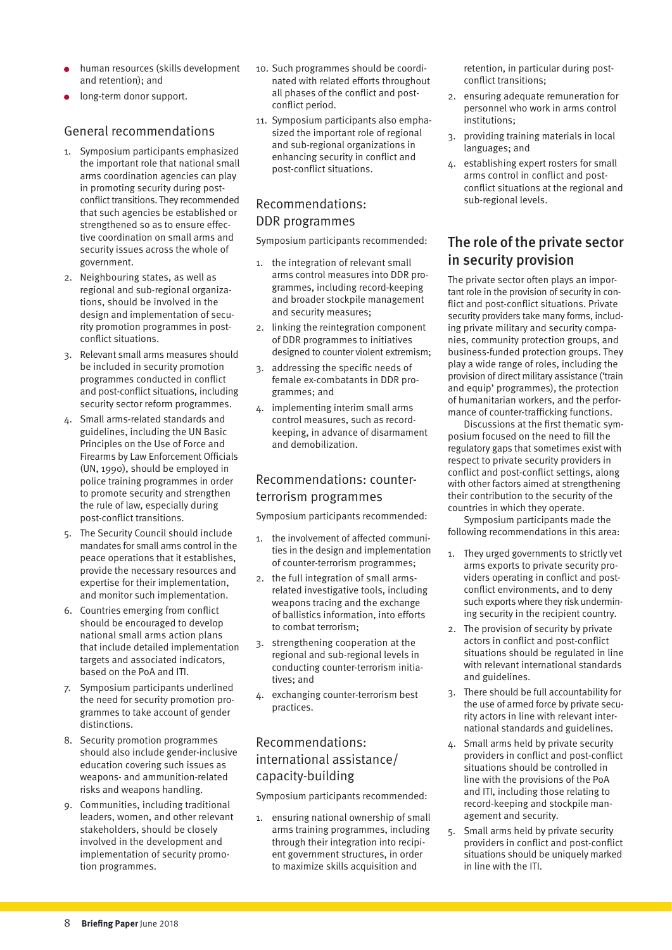- <span id="page-7-0"></span>human resources (skills development and retention); and
- long-term donor support.

#### General recommendations

- 1. Symposium participants emphasized the important role that national small arms coordination agencies can play in promoting security during postconflict transitions. They recommended that such agencies be established or strengthened so as to ensure effective coordination on small arms and security issues across the whole of government.
- 2. Neighbouring states, as well as regional and sub-regional organizations, should be involved in the design and implementation of security promotion programmes in postconflict situations.
- 3. Relevant small arms measures should be included in security promotion programmes conducted in conflict and post-conflict situations, including security sector reform programmes.
- 4. Small arms-related standards and guidelines, including the UN Basic Principles on the Use of Force and Firearms by Law Enforcement Officials (UN, 1990), should be employed in police training programmes in order to promote security and strengthen the rule of law, especially during post-conflict transitions.
- 5. The Security Council should include mandates for small arms control in the peace operations that it establishes, provide the necessary resources and expertise for their implementation, and monitor such implementation.
- 6. Countries emerging from conflict should be encouraged to develop national small arms action plans that include detailed implementation targets and associated indicators, based on the PoA and ITI.
- 7. Symposium participants underlined the need for security promotion programmes to take account of gender distinctions.
- 8. Security promotion programmes should also include gender-inclusive education covering such issues as weapons- and ammunition-related risks and weapons handling.
- 9. Communities, including traditional leaders, women, and other relevant stakeholders, should be closely involved in the development and implementation of security promotion programmes.
- 10. Such programmes should be coordinated with related efforts throughout all phases of the conflict and postconflict period.
- 11. Symposium participants also emphasized the important role of regional and sub-regional organizations in enhancing security in conflict and post-conflict situations.

### Recommendations: DDR programmes

Symposium participants recommended:

- 1. the integration of relevant small arms control measures into DDR programmes, including record-keeping and broader stockpile management and security measures;
- 2. linking the reintegration component of DDR programmes to initiatives designed to counter violent extremism;
- 3. addressing the specific needs of female ex-combatants in DDR programmes; and
- 4. implementing interim small arms control measures, such as recordkeeping, in advance of disarmament and demobilization.

### Recommendations: counterterrorism programmes

Symposium participants recommended:

- 1. the involvement of affected communities in the design and implementation of counter-terrorism programmes;
- 2. the full integration of small armsrelated investigative tools, including weapons tracing and the exchange of ballistics information, into efforts to combat terrorism;
- 3. strengthening cooperation at the regional and sub-regional levels in conducting counter-terrorism initiatives; and
- 4. exchanging counter-terrorism best practices.

### Recommendations: international assistance/ capacity-building

Symposium participants recommended:

1. ensuring national ownership of small arms training programmes, including through their integration into recipient government structures, in order to maximize skills acquisition and

retention, in particular during postconflict transitions;

- 2. ensuring adequate remuneration for personnel who work in arms control institutions;
- 3. providing training materials in local languages; and
- 4. establishing expert rosters for small arms control in conflict and postconflict situations at the regional and sub-regional levels.

### The role of the private sector in security provision

The private sector often plays an important role in the provision of security in conflict and post-conflict situations. Private security providers take many forms, including private military and security companies, community protection groups, and business-funded protection groups. They play a wide range of roles, including the provision of direct military assistance ('train and equip' programmes), the protection of humanitarian workers, and the performance of counter-trafficking functions.

Discussions at the first thematic symposium focused on the need to fill the regulatory gaps that sometimes exist with respect to private security providers in conflict and post-conflict settings, along with other factors aimed at strengthening their contribution to the security of the countries in which they operate.

Symposium participants made the following recommendations in this area:

- 1. They urged governments to strictly vet arms exports to private security providers operating in conflict and postconflict environments, and to deny such exports where they risk undermining security in the recipient country.
- 2. The provision of security by private actors in conflict and post-conflict situations should be regulated in line with relevant international standards and guidelines.
- 3. There should be full accountability for the use of armed force by private security actors in line with relevant international standards and guidelines.
- 4. Small arms held by private security providers in conflict and post-conflict situations should be controlled in line with the provisions of the PoA and ITI, including those relating to record-keeping and stockpile management and security.
- 5. Small arms held by private security providers in conflict and post-conflict situations should be uniquely marked in line with the ITI.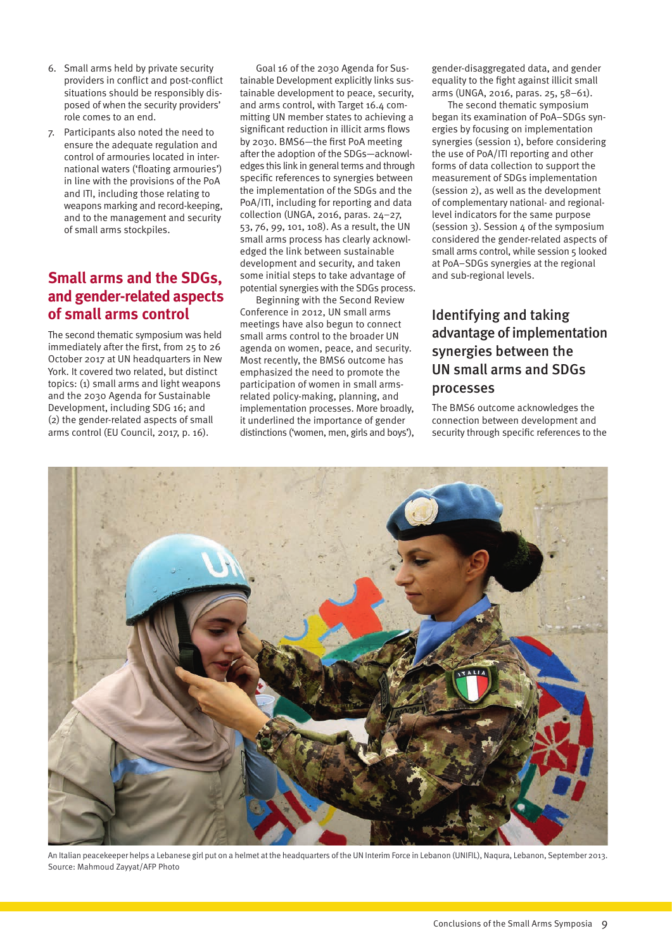- <span id="page-8-0"></span>6. Small arms held by private security providers in conflict and post-conflict situations should be responsibly disposed of when the security providers' role comes to an end.
- 7. Participants also noted the need to ensure the adequate regulation and control of armouries located in international waters ('floating armouries') in line with the provisions of the PoA and ITI, including those relating to weapons marking and record-keeping, and to the management and security of small arms stockpiles.

### **Small arms and the SDGs, and gender-related aspects of small arms control**

The second thematic symposium was held immediately after the first, from 25 to 26 October 2017 at UN headquarters in New York. It covered two related, but distinct topics: (1) small arms and light weapons and the 2030 Agenda for Sustainable Development, including SDG 16; and (2) the gender-related aspects of small arms control (EU Council, 2017, p. 16).

Goal 16 of the 2030 Agenda for Sustainable Development explicitly links sustainable development to peace, security, and arms control, with Target 16.4 committing UN member states to achieving a significant reduction in illicit arms flows by 2030. BMS6—the first PoA meeting after the adoption of the SDGs—acknowledges this link in general terms and through specific references to synergies between the implementation of the SDGs and the PoA/ITI, including for reporting and data collection (UNGA, 2016, paras. 24–27, 53, 76, 99, 101, 108). As a result, the UN small arms process has clearly acknowledged the link between sustainable development and security, and taken some initial steps to take advantage of potential synergies with the SDGs process.

Beginning with the Second Review Conference in 2012, UN small arms meetings have also begun to connect small arms control to the broader UN agenda on women, peace, and security. Most recently, the BMS6 outcome has emphasized the need to promote the participation of women in small armsrelated policy-making, planning, and implementation processes. More broadly, it underlined the importance of gender distinctions ('women, men, girls and boys'), gender-disaggregated data, and gender equality to the fight against illicit small arms (UNGA, 2016, paras. 25, 58–61).

The second thematic symposium began its examination of PoA–SDGs synergies by focusing on implementation synergies (session 1), before considering the use of PoA/ITI reporting and other forms of data collection to support the measurement of SDGs implementation (session 2), as well as the development of complementary national- and regionallevel indicators for the same purpose (session  $3$ ). Session  $4$  of the symposium considered the gender-related aspects of small arms control, while session 5 looked at PoA–SDGs synergies at the regional and sub-regional levels.

### Identifying and taking advantage of implementation synergies between the UN small arms and SDGs processes

The BMS6 outcome acknowledges the connection between development and security through specific references to the



An Italian peacekeeper helps a Lebanese girl put on a helmet at the headquarters of the UN Interim Force in Lebanon (UNIFIL), Naqura, Lebanon, September 2013. Source: Mahmoud Zayyat/AFP Photo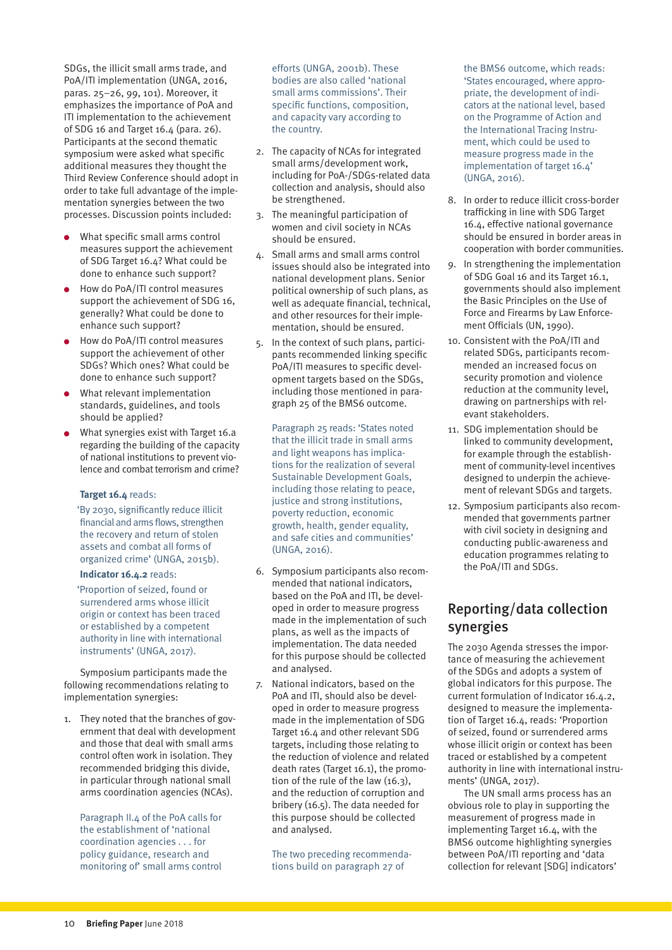<span id="page-9-0"></span>SDGs, the illicit small arms trade, and PoA/ITI implementation (UNGA, 2016, paras. 25–26, 99, 101). Moreover, it emphasizes the importance of PoA and ITI implementation to the achievement of SDG 16 and Target 16.4 (para. 26). Participants at the second thematic symposium were asked what specific additional measures they thought the Third Review Conference should adopt in order to take full advantage of the implementation synergies between the two processes. Discussion points included:

- What specific small arms control measures support the achievement of SDG Target 16.4? What could be done to enhance such support?
- How do PoA/ITI control measures support the achievement of SDG 16, generally? What could be done to enhance such support?
- How do PoA/ITI control measures support the achievement of other SDGs? Which ones? What could be done to enhance such support?
- What relevant implementation standards, guidelines, and tools should be applied?
- What synergies exist with Target 16.a regarding the building of the capacity of national institutions to prevent violence and combat terrorism and crime?

#### **Target 16.4** reads:

 'By 2030, significantly reduce illicit financial and arms flows, strengthen the recovery and return of stolen assets and combat all forms of organized crime' (UNGA, 2015b).

#### **Indicator 16.4.2** reads:

 'Proportion of seized, found or surrendered arms whose illicit origin or context has been traced or established by a competent authority in line with international instruments' (UNGA, 2017).

Symposium participants made the following recommendations relating to implementation synergies:

1. They noted that the branches of government that deal with development and those that deal with small arms control often work in isolation. They recommended bridging this divide, in particular through national small arms coordination agencies (NCAs).

Paragraph II.4 of the PoA calls for the establishment of 'national coordination agencies . . . for policy guidance, research and monitoring of' small arms control

efforts (UNGA, 2001b). These bodies are also called 'national small arms commissions'. Their specific functions, composition, and capacity vary according to the country.

- 2. The capacity of NCAs for integrated small arms/development work, including for PoA-/SDGs-related data collection and analysis, should also be strengthened.
- 3. The meaningful participation of women and civil society in NCAs should be ensured.
- 4. Small arms and small arms control issues should also be integrated into national development plans. Senior political ownership of such plans, as well as adequate financial, technical, and other resources for their implementation, should be ensured.
- 5. In the context of such plans, participants recommended linking specific PoA/ITI measures to specific development targets based on the SDGs, including those mentioned in paragraph 25 of the BMS6 outcome.

Paragraph 25 reads: 'States noted that the illicit trade in small arms and light weapons has implications for the realization of several Sustainable Development Goals, including those relating to peace, justice and strong institutions, poverty reduction, economic growth, health, gender equality, and safe cities and communities' (UNGA, 2016).

- 6. Symposium participants also recommended that national indicators, based on the PoA and ITI, be developed in order to measure progress made in the implementation of such plans, as well as the impacts of implementation. The data needed for this purpose should be collected and analysed.
- 7. National indicators, based on the PoA and ITI, should also be developed in order to measure progress made in the implementation of SDG Target 16.4 and other relevant SDG targets, including those relating to the reduction of violence and related death rates (Target 16.1), the promotion of the rule of the law (16.3), and the reduction of corruption and bribery (16.5). The data needed for this purpose should be collected and analysed.

The two preceding recommendations build on paragraph 27 of

the BMS6 outcome, which reads: 'States encouraged, where appropriate, the development of indicators at the national level, based on the Programme of Action and the International Tracing Instrument, which could be used to measure progress made in the implementation of target 16.4' (UNGA, 2016).

- 8. In order to reduce illicit cross-border trafficking in line with SDG Target 16.4, effective national governance should be ensured in border areas in cooperation with border communities.
- 9. In strengthening the implementation of SDG Goal 16 and its Target 16.1, governments should also implement the Basic Principles on the Use of Force and Firearms by Law Enforcement Officials (UN, 1990).
- 10. Consistent with the PoA/ITI and related SDGs, participants recommended an increased focus on security promotion and violence reduction at the community level, drawing on partnerships with relevant stakeholders.
- 11. SDG implementation should be linked to community development, for example through the establishment of community-level incentives designed to underpin the achievement of relevant SDGs and targets.
- 12. Symposium participants also recommended that governments partner with civil society in designing and conducting public-awareness and education programmes relating to the PoA/ITI and SDGs.

### Reporting/data collection synergies

The 2030 Agenda stresses the importance of measuring the achievement of the SDGs and adopts a system of global indicators for this purpose. The current formulation of Indicator 16.4.2, designed to measure the implementation of Target 16.4, reads: 'Proportion of seized, found or surrendered arms whose illicit origin or context has been traced or established by a competent authority in line with international instruments' (UNGA, 2017).

The UN small arms process has an obvious role to play in supporting the measurement of progress made in implementing Target 16.4, with the BMS6 outcome highlighting synergies between PoA/ITI reporting and 'data collection for relevant [SDG] indicators'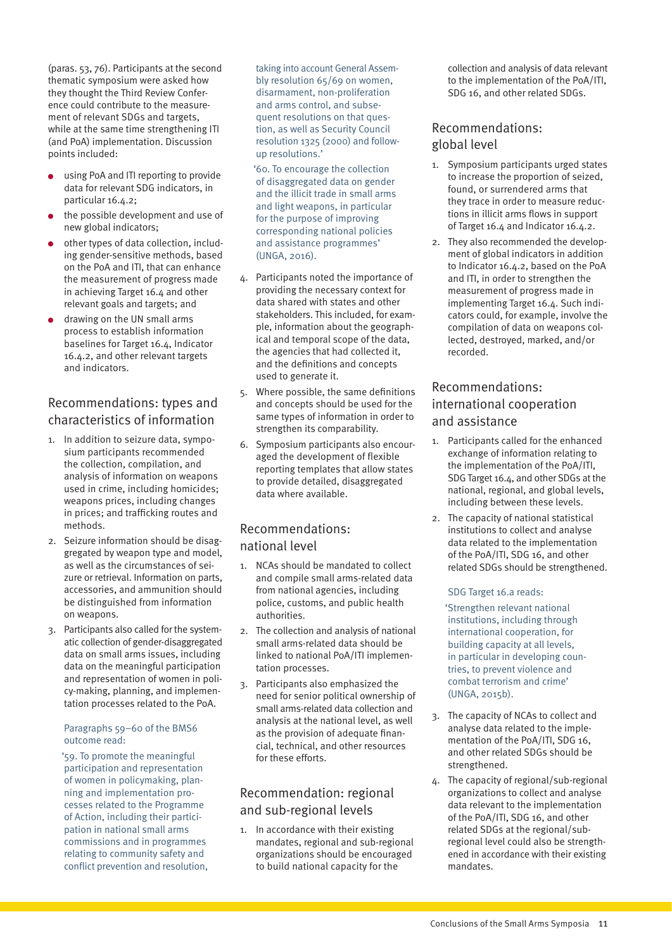(paras. 53, 76). Participants at the second thematic symposium were asked how they thought the Third Review Conference could contribute to the measurement of relevant SDGs and targets, while at the same time strengthening ITI (and PoA) implementation. Discussion points included:

- using PoA and ITI reporting to provide data for relevant SDG indicators, in particular 16.4.2;
- the possible development and use of new global indicators;
- other types of data collection, including gender-sensitive methods, based on the PoA and ITI, that can enhance the measurement of progress made in achieving Target 16.4 and other relevant goals and targets; and
- drawing on the UN small arms process to establish information baselines for Target 16.4, Indicator 16.4.2, and other relevant targets and indicators.

### Recommendations: types and characteristics of information

- 1. In addition to seizure data, symposium participants recommended the collection, compilation, and analysis of information on weapons used in crime, including homicides; weapons prices, including changes in prices; and trafficking routes and methods.
- 2. Seizure information should be disaggregated by weapon type and model, as well as the circumstances of seizure or retrieval. Information on parts, accessories, and ammunition should be distinguished from information on weapons.
- 3. Participants also called for the systematic collection of gender-disaggregated data on small arms issues, including data on the meaningful participation and representation of women in policy-making, planning, and implementation processes related to the PoA.

#### Paragraphs 59–60 of the BMS6 outcome read:

 '59. To promote the meaningful participation and representation of women in policymaking, planning and implementation processes related to the Programme of Action, including their participation in national small arms commissions and in programmes relating to community safety and conflict prevention and resolution, taking into account General Assembly resolution 65/69 on women, disarmament, non-proliferation and arms control, and subsequent resolutions on that question, as well as Security Council resolution 1325 (2000) and followup resolutions.'

 '60. To encourage the collection of disaggregated data on gender and the illicit trade in small arms and light weapons, in particular for the purpose of improving corresponding national policies and assistance programmes' (UNGA, 2016).

- 4. Participants noted the importance of providing the necessary context for data shared with states and other stakeholders. This included, for example, information about the geographical and temporal scope of the data, the agencies that had collected it, and the definitions and concepts used to generate it.
- 5. Where possible, the same definitions and concepts should be used for the same types of information in order to strengthen its comparability.
- 6. Symposium participants also encouraged the development of flexible reporting templates that allow states to provide detailed, disaggregated data where available.

### Recommendations: national level

- 1. NCAs should be mandated to collect and compile small arms-related data from national agencies, including police, customs, and public health authorities.
- 2. The collection and analysis of national small arms-related data should be linked to national PoA/ITI implementation processes.
- 3. Participants also emphasized the need for senior political ownership of small arms-related data collection and analysis at the national level, as well as the provision of adequate financial, technical, and other resources for these efforts.

### Recommendation: regional and sub-regional levels

1. In accordance with their existing mandates, regional and sub-regional organizations should be encouraged to build national capacity for the

collection and analysis of data relevant to the implementation of the PoA/ITI, SDG 16, and other related SDGs.

### Recommendations: global level

- 1. Symposium participants urged states to increase the proportion of seized, found, or surrendered arms that they trace in order to measure reductions in illicit arms flows in support of Target 16.4 and Indicator 16.4.2.
- 2. They also recommended the development of global indicators in addition to Indicator 16.4.2, based on the PoA and ITI, in order to strengthen the measurement of progress made in implementing Target 16.4. Such indicators could, for example, involve the compilation of data on weapons collected, destroyed, marked, and/or recorded.

### Recommendations: international cooperation and assistance

- 1. Participants called for the enhanced exchange of information relating to the implementation of the PoA/ITI, SDG Target 16.4, and other SDGs at the national, regional, and global levels, including between these levels.
- 2. The capacity of national statistical institutions to collect and analyse data related to the implementation of the PoA/ITI, SDG 16, and other related SDGs should be strengthened.

#### SDG Target 16.a reads:

 'Strengthen relevant national institutions, including through international cooperation, for building capacity at all levels, in particular in developing countries, to prevent violence and combat terrorism and crime' (UNGA, 2015b).

- 3. The capacity of NCAs to collect and analyse data related to the implementation of the PoA/ITI, SDG 16, and other related SDGs should be strengthened.
- 4. The capacity of regional/sub-regional organizations to collect and analyse data relevant to the implementation of the PoA/ITI, SDG 16, and other related SDGs at the regional/subregional level could also be strengthened in accordance with their existing mandates.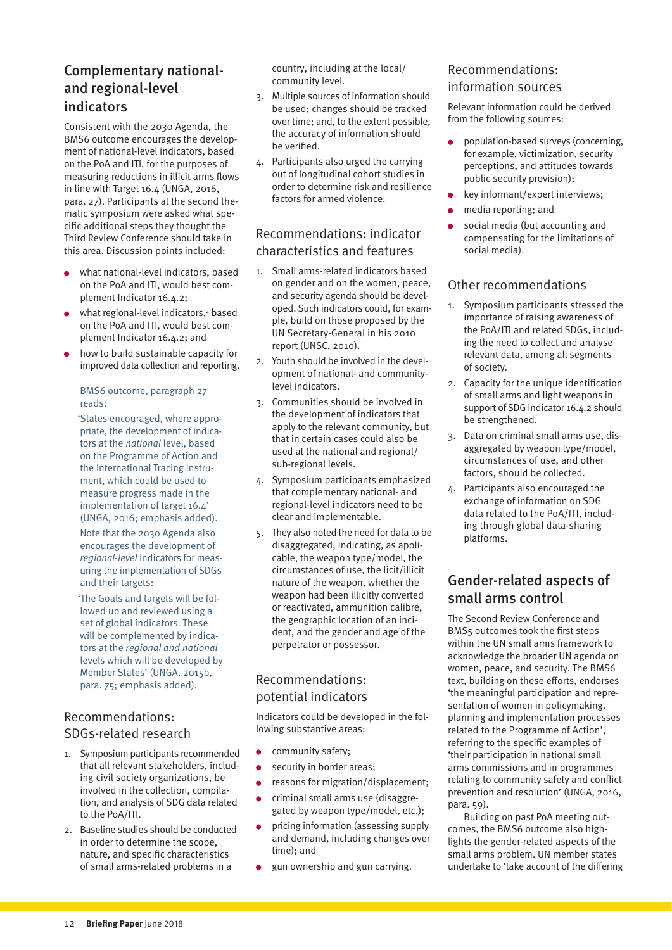### <span id="page-11-0"></span>Complementary nationaland regional-level indicators

Consistent with the 2030 Agenda, the BMS6 outcome encourages the development of national-level indicators, based on the PoA and ITI, for the purposes of measuring reductions in illicit arms flows in line with Target 16.4 (UNGA, 2016, para. 27). Participants at the second thematic symposium were asked what specific additional steps they thought the Third Review Conference should take in this area. Discussion points included:

- what national-level indicators, based on the PoA and ITI, would best complement Indicator 16.4.2;
- what regional-level indicators,<sup>2</sup> based on the PoA and ITI, would best complement Indicator 16.4.2; and
- how to build sustainable capacity for improved data collection and reporting.

#### BMS6 outcome, paragraph 27 reads:

 'States encouraged, where appropriate, the development of indicators at the *national* level, based on the Programme of Action and the International Tracing Instrument, which could be used to measure progress made in the implementation of target 16.4' (UNGA, 2016; emphasis added).

Note that the 2030 Agenda also encourages the development of *regional-level* indicators for measuring the implementation of SDGs and their targets:

 'The Goals and targets will be followed up and reviewed using a set of global indicators. These will be complemented by indicators at the *regional and national*  levels which will be developed by Member States' (UNGA, 2015b, para. 75; emphasis added).

### Recommendations: SDGs-related research

- 1. Symposium participants recommended that all relevant stakeholders, including civil society organizations, be involved in the collection, compilation, and analysis of SDG data related to the PoA/ITI.
- 2. Baseline studies should be conducted in order to determine the scope, nature, and specific characteristics of small arms-related problems in a

country, including at the local/ community level.

- 3. Multiple sources of information should be used; changes should be tracked over time; and, to the extent possible, the accuracy of information should be verified.
- 4. Participants also urged the carrying out of longitudinal cohort studies in order to determine risk and resilience factors for armed violence.

### Recommendations: indicator characteristics and features

- 1. Small arms-related indicators based on gender and on the women, peace, and security agenda should be developed. Such indicators could, for example, build on those proposed by the UN Secretary-General in his 2010 report (UNSC, 2010).
- 2. Youth should be involved in the development of national- and communitylevel indicators.
- 3. Communities should be involved in the development of indicators that apply to the relevant community, but that in certain cases could also be used at the national and regional/ sub-regional levels.
- 4. Symposium participants emphasized that complementary national- and regional-level indicators need to be clear and implementable.
- 5. They also noted the need for data to be disaggregated, indicating, as applicable, the weapon type/model, the circumstances of use, the licit/illicit nature of the weapon, whether the weapon had been illicitly converted or reactivated, ammunition calibre, the geographic location of an incident, and the gender and age of the perpetrator or possessor.

### Recommendations: potential indicators

Indicators could be developed in the following substantive areas:

- community safety;  $\bullet$
- security in border areas;
- reasons for migration/displacement;
- criminal small arms use (disaggregated by weapon type/model, etc.);
- pricing information (assessing supply and demand, including changes over time); and
- gun ownership and gun carrying.

#### Recommendations: information sources

Relevant information could be derived from the following sources:

- population-based surveys (concerning, for example, victimization, security perceptions, and attitudes towards public security provision);
- key informant/expert interviews;
- media reporting; and
- social media (but accounting and compensating for the limitations of social media).

### Other recommendations

- 1. Symposium participants stressed the importance of raising awareness of the PoA/ITI and related SDGs, including the need to collect and analyse relevant data, among all segments of society.
- 2. Capacity for the unique identification of small arms and light weapons in support of SDG Indicator 16.4.2 should be strengthened.
- 3. Data on criminal small arms use, disaggregated by weapon type/model, circumstances of use, and other factors, should be collected.
- 4. Participants also encouraged the exchange of information on SDG data related to the PoA/ITI, including through global data-sharing platforms.

### Gender-related aspects of small arms control

The Second Review Conference and BMS5 outcomes took the first steps within the UN small arms framework to acknowledge the broader UN agenda on women, peace, and security. The BMS6 text, building on these efforts, endorses 'the meaningful participation and representation of women in policymaking, planning and implementation processes related to the Programme of Action', referring to the specific examples of 'their participation in national small arms commissions and in programmes relating to community safety and conflict prevention and resolution' (UNGA, 2016, para. 59).

Building on past PoA meeting outcomes, the BMS6 outcome also highlights the gender-related aspects of the small arms problem. UN member states undertake to 'take account of the differing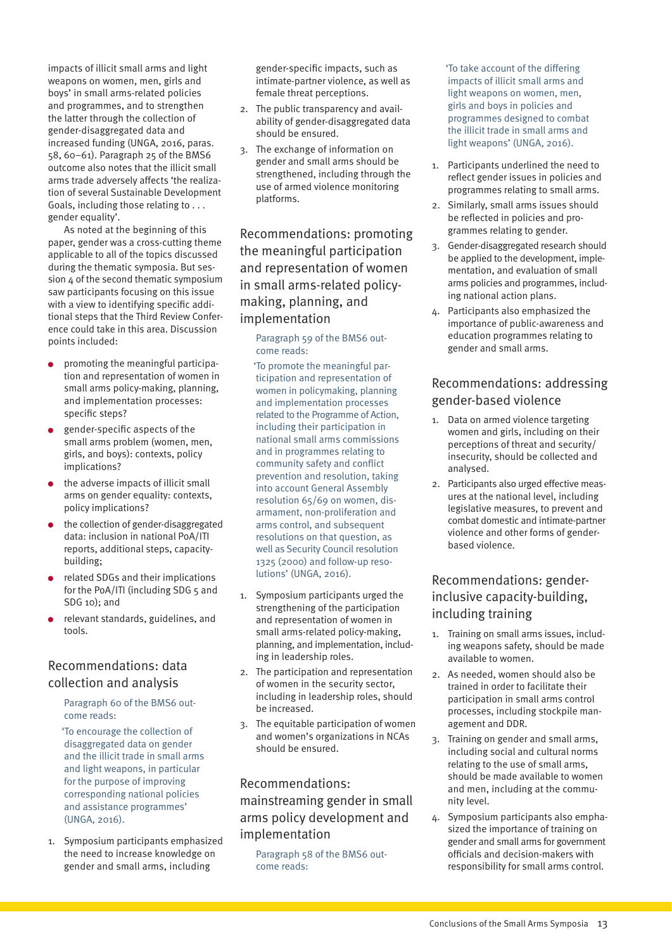impacts of illicit small arms and light weapons on women, men, girls and boys' in small arms-related policies and programmes, and to strengthen the latter through the collection of gender-disaggregated data and increased funding (UNGA, 2016, paras. 58, 60–61). Paragraph 25 of the BMS6 outcome also notes that the illicit small arms trade adversely affects 'the realization of several Sustainable Development Goals, including those relating to . . . gender equality'.

As noted at the beginning of this paper, gender was a cross-cutting theme applicable to all of the topics discussed during the thematic symposia. But session 4 of the second thematic symposium saw participants focusing on this issue with a view to identifying specific additional steps that the Third Review Conference could take in this area. Discussion points included:

- promoting the meaningful participation and representation of women in small arms policy-making, planning, and implementation processes: specific steps?
- gender-specific aspects of the small arms problem (women, men, girls, and boys): contexts, policy implications?
- $\bullet$  the adverse impacts of illicit small arms on gender equality: contexts, policy implications?
- the collection of gender-disaggregated data: inclusion in national PoA/ITI reports, additional steps, capacitybuilding;
- related SDGs and their implications for the PoA/ITI (including SDG 5 and SDG 10); and
- relevant standards, guidelines, and tools.

### Recommendations: data collection and analysis

Paragraph 60 of the BMS6 outcome reads:

 'To encourage the collection of disaggregated data on gender and the illicit trade in small arms and light weapons, in particular for the purpose of improving corresponding national policies and assistance programmes' (UNGA, 2016).

1. Symposium participants emphasized the need to increase knowledge on gender and small arms, including

gender-specific impacts, such as intimate-partner violence, as well as female threat perceptions.

- 2. The public transparency and availability of gender-disaggregated data should be ensured.
- 3. The exchange of information on gender and small arms should be strengthened, including through the use of armed violence monitoring platforms.

Recommendations: promoting the meaningful participation and representation of women in small arms-related policymaking, planning, and implementation

Paragraph 59 of the BMS6 outcome reads:

 'To promote the meaningful participation and representation of women in policymaking, planning and implementation processes related to the Programme of Action, including their participation in national small arms commissions and in programmes relating to community safety and conflict prevention and resolution, taking into account General Assembly resolution 65/69 on women, disarmament, non-proliferation and arms control, and subsequent resolutions on that question, as well as Security Council resolution 1325 (2000) and follow-up resolutions' (UNGA, 2016).

- 1. Symposium participants urged the strengthening of the participation and representation of women in small arms-related policy-making, planning, and implementation, including in leadership roles.
- 2. The participation and representation of women in the security sector, including in leadership roles, should be increased.
- 3. The equitable participation of women and women's organizations in NCAs should be ensured.

### Recommendations: mainstreaming gender in small arms policy development and implementation

Paragraph 58 of the BMS6 outcome reads:

 'To take account of the differing impacts of illicit small arms and light weapons on women, men, girls and boys in policies and programmes designed to combat the illicit trade in small arms and light weapons' (UNGA, 2016).

- 1. Participants underlined the need to reflect gender issues in policies and programmes relating to small arms.
- 2. Similarly, small arms issues should be reflected in policies and programmes relating to gender.
- 3. Gender-disaggregated research should be applied to the development, implementation, and evaluation of small arms policies and programmes, including national action plans.
- 4. Participants also emphasized the importance of public-awareness and education programmes relating to gender and small arms.

### Recommendations: addressing gender-based violence

- 1. Data on armed violence targeting women and girls, including on their perceptions of threat and security/ insecurity, should be collected and analysed.
- 2. Participants also urged effective measures at the national level, including legislative measures, to prevent and combat domestic and intimate-partner violence and other forms of genderbased violence.

### Recommendations: genderinclusive capacity-building, including training

- 1. Training on small arms issues, including weapons safety, should be made available to women.
- 2. As needed, women should also be trained in order to facilitate their participation in small arms control processes, including stockpile management and DDR.
- 3. Training on gender and small arms, including social and cultural norms relating to the use of small arms, should be made available to women and men, including at the community level.
- 4. Symposium participants also emphasized the importance of training on gender and small arms for government officials and decision-makers with responsibility for small arms control.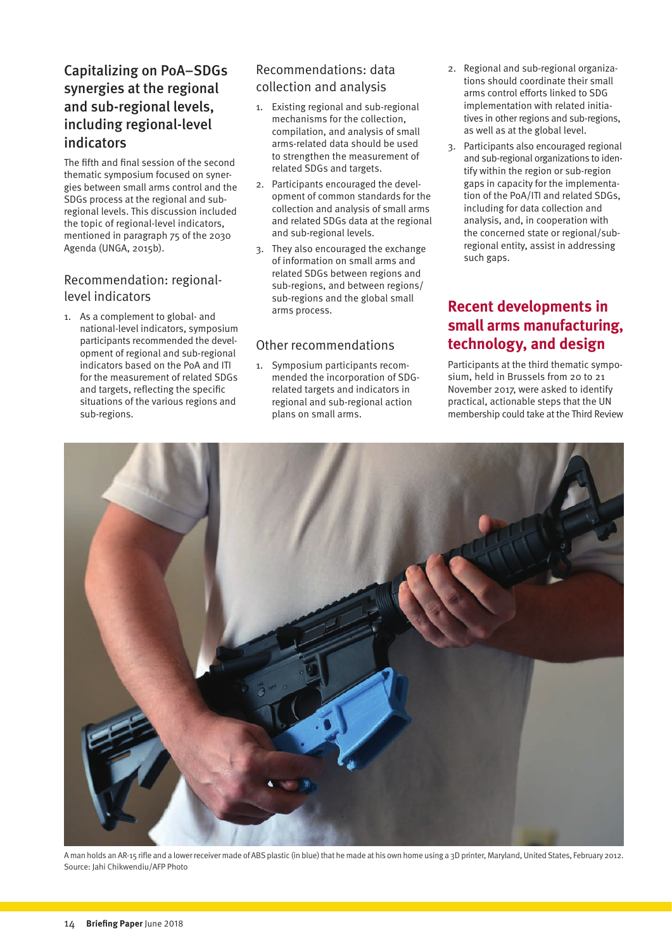### <span id="page-13-0"></span>Capitalizing on PoA–SDGs synergies at the regional and sub-regional levels, including regional-level indicators

The fifth and final session of the second thematic symposium focused on synergies between small arms control and the SDGs process at the regional and subregional levels. This discussion included the topic of regional-level indicators, mentioned in paragraph 75 of the 2030 Agenda (UNGA, 2015b).

### Recommendation: regionallevel indicators

1. As a complement to global- and national-level indicators, symposium participants recommended the development of regional and sub-regional indicators based on the PoA and ITI for the measurement of related SDGs and targets, reflecting the specific situations of the various regions and sub-regions.

### Recommendations: data collection and analysis

- 1. Existing regional and sub-regional mechanisms for the collection, compilation, and analysis of small arms-related data should be used to strengthen the measurement of related SDGs and targets.
- 2. Participants encouraged the development of common standards for the collection and analysis of small arms and related SDGs data at the regional and sub-regional levels.
- 3. They also encouraged the exchange of information on small arms and related SDGs between regions and sub-regions, and between regions/ sub-regions and the global small arms process.

### Other recommendations

1. Symposium participants recommended the incorporation of SDGrelated targets and indicators in regional and sub-regional action plans on small arms.

- 2. Regional and sub-regional organizations should coordinate their small arms control efforts linked to SDG implementation with related initiatives in other regions and sub-regions, as well as at the global level.
- 3. Participants also encouraged regional and sub-regional organizations to identify within the region or sub-region gaps in capacity for the implementation of the PoA/ITI and related SDGs, including for data collection and analysis, and, in cooperation with the concerned state or regional/subregional entity, assist in addressing such gaps.

### **Recent developments in small arms manufacturing, technology, and design**

Participants at the third thematic symposium, held in Brussels from 20 to 21 November 2017, were asked to identify practical, actionable steps that the UN membership could take at the Third Review



A man holds an AR-15 rifle and a lower receiver made of ABS plastic (in blue) that he made at his own home using a 3D printer, Maryland, United States, February 2012. Source: Jahi Chikwendiu/AFP Photo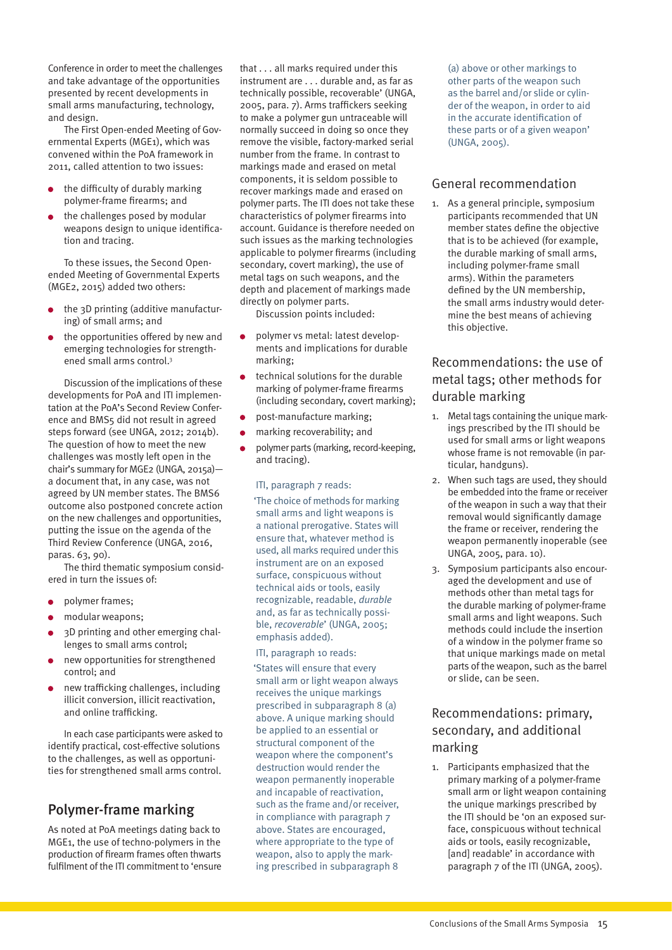<span id="page-14-0"></span>Conference in order to meet the challenges and take advantage of the opportunities presented by recent developments in small arms manufacturing, technology, and design.

The First Open-ended Meeting of Governmental Experts (MGE1), which was convened within the PoA framework in 2011, called attention to two issues:

- the difficulty of durably marking polymer-frame firearms; and
- the challenges posed by modular weapons design to unique identification and tracing.

To these issues, the Second Openended Meeting of Governmental Experts (MGE2, 2015) added two others:

- the 3D printing (additive manufacturing) of small arms; and
- the opportunities offered by new and emerging technologies for strengthened small arms control.<sup>3</sup>

Discussion of the implications of these developments for PoA and ITI implementation at the PoA's Second Review Conference and BMS5 did not result in agreed steps forward (see UNGA, 2012; 2014b). The question of how to meet the new challenges was mostly left open in the chair's summary for MGE2 (UNGA, 2015a) a document that, in any case, was not agreed by UN member states. The BMS6 outcome also postponed concrete action on the new challenges and opportunities, putting the issue on the agenda of the Third Review Conference (UNGA, 2016, paras. 63, 90).

The third thematic symposium considered in turn the issues of:

- polymer frames;
- modular weapons;
- 3D printing and other emerging challenges to small arms control;
- new opportunities for strengthened control; and
- new trafficking challenges, including illicit conversion, illicit reactivation, and online trafficking.

In each case participants were asked to identify practical, cost-effective solutions to the challenges, as well as opportunities for strengthened small arms control.

### Polymer-frame marking

As noted at PoA meetings dating back to MGE1, the use of techno-polymers in the production of firearm frames often thwarts fulfilment of the ITI commitment to 'ensure that . . . all marks required under this instrument are . . . durable and, as far as technically possible, recoverable' (UNGA, 2005, para. 7). Arms traffickers seeking to make a polymer gun untraceable will normally succeed in doing so once they remove the visible, factory-marked serial number from the frame. In contrast to markings made and erased on metal components, it is seldom possible to recover markings made and erased on polymer parts. The ITI does not take these characteristics of polymer firearms into account. Guidance is therefore needed on such issues as the marking technologies applicable to polymer firearms (including secondary, covert marking), the use of metal tags on such weapons, and the depth and placement of markings made directly on polymer parts.

Discussion points included:

- polymer vs metal: latest developments and implications for durable marking;
- technical solutions for the durable marking of polymer-frame firearms (including secondary, covert marking);
- post-manufacture marking;
- marking recoverability; and
- polymer parts (marking, record-keeping, and tracing).

#### ITI, paragraph 7 reads:

 'The choice of methods for marking small arms and light weapons is a national prerogative. States will ensure that, whatever method is used, all marks required under this instrument are on an exposed surface, conspicuous without technical aids or tools, easily recognizable, readable, *durable* and, as far as technically possible, *recoverable*' (UNGA, 2005; emphasis added).

#### ITI, paragraph 10 reads:

 'States will ensure that every small arm or light weapon always receives the unique markings prescribed in subparagraph 8 (a) above. A unique marking should be applied to an essential or structural component of the weapon where the component's destruction would render the weapon permanently inoperable and incapable of reactivation, such as the frame and/or receiver, in compliance with paragraph 7 above. States are encouraged, where appropriate to the type of weapon, also to apply the marking prescribed in subparagraph 8

(a) above or other markings to other parts of the weapon such as the barrel and/or slide or cylinder of the weapon, in order to aid in the accurate identification of these parts or of a given weapon' (UNGA, 2005).

#### General recommendation

1. As a general principle, symposium participants recommended that UN member states define the objective that is to be achieved (for example, the durable marking of small arms, including polymer-frame small arms). Within the parameters defined by the UN membership, the small arms industry would determine the best means of achieving this objective.

### Recommendations: the use of metal tags; other methods for durable marking

- 1. Metal tags containing the unique markings prescribed by the ITI should be used for small arms or light weapons whose frame is not removable (in particular, handguns).
- 2. When such tags are used, they should be embedded into the frame or receiver of the weapon in such a way that their removal would significantly damage the frame or receiver, rendering the weapon permanently inoperable (see UNGA, 2005, para. 10).
- 3. Symposium participants also encouraged the development and use of methods other than metal tags for the durable marking of polymer-frame small arms and light weapons. Such methods could include the insertion of a window in the polymer frame so that unique markings made on metal parts of the weapon, such as the barrel or slide, can be seen.

### Recommendations: primary, secondary, and additional marking

1. Participants emphasized that the primary marking of a polymer-frame small arm or light weapon containing the unique markings prescribed by the ITI should be 'on an exposed surface, conspicuous without technical aids or tools, easily recognizable, [and] readable' in accordance with paragraph 7 of the ITI (UNGA, 2005).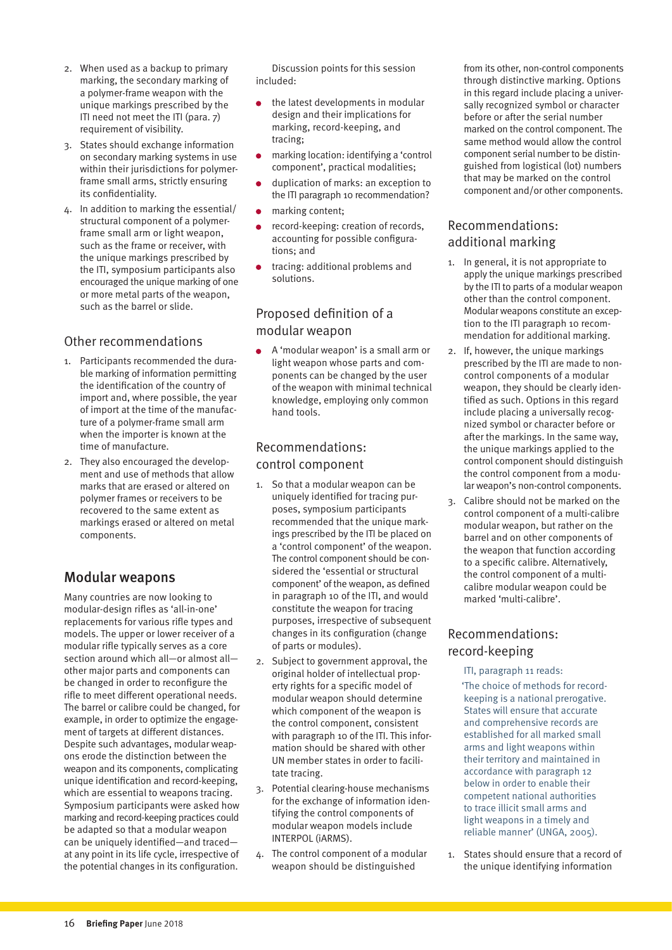- <span id="page-15-0"></span>2. When used as a backup to primary marking, the secondary marking of a polymer-frame weapon with the unique markings prescribed by the ITI need not meet the ITI (para. 7) requirement of visibility.
- 3. States should exchange information on secondary marking systems in use within their jurisdictions for polymerframe small arms, strictly ensuring its confidentiality.
- 4. In addition to marking the essential/ structural component of a polymerframe small arm or light weapon, such as the frame or receiver, with the unique markings prescribed by the ITI, symposium participants also encouraged the unique marking of one or more metal parts of the weapon, such as the barrel or slide.

### Other recommendations

- 1. Participants recommended the durable marking of information permitting the identification of the country of import and, where possible, the year of import at the time of the manufacture of a polymer-frame small arm when the importer is known at the time of manufacture.
- 2. They also encouraged the development and use of methods that allow marks that are erased or altered on polymer frames or receivers to be recovered to the same extent as markings erased or altered on metal components.

### Modular weapons

Many countries are now looking to modular-design rifles as 'all-in-one' replacements for various rifle types and models. The upper or lower receiver of a modular rifle typically serves as a core section around which all—or almost all other major parts and components can be changed in order to reconfigure the rifle to meet different operational needs. The barrel or calibre could be changed, for example, in order to optimize the engagement of targets at different distances. Despite such advantages, modular weapons erode the distinction between the weapon and its components, complicating unique identification and record-keeping, which are essential to weapons tracing. Symposium participants were asked how marking and record-keeping practices could be adapted so that a modular weapon can be uniquely identified—and traced at any point in its life cycle, irrespective of the potential changes in its configuration.

Discussion points for this session included:

- the latest developments in modular design and their implications for marking, record-keeping, and tracing;
- marking location: identifying a 'control component', practical modalities;
- duplication of marks: an exception to the ITI paragraph 10 recommendation?
- marking content;
- record-keeping: creation of records, accounting for possible configurations; and
- tracing: additional problems and solutions.

### Proposed definition of a modular weapon

A 'modular weapon' is a small arm or light weapon whose parts and components can be changed by the user of the weapon with minimal technical knowledge, employing only common hand tools.

### Recommendations: control component

- 1. So that a modular weapon can be uniquely identified for tracing purposes, symposium participants recommended that the unique markings prescribed by the ITI be placed on a 'control component' of the weapon. The control component should be considered the 'essential or structural component' of the weapon, as defined in paragraph 10 of the ITI, and would constitute the weapon for tracing purposes, irrespective of subsequent changes in its configuration (change of parts or modules).
- 2. Subject to government approval, the original holder of intellectual property rights for a specific model of modular weapon should determine which component of the weapon is the control component, consistent with paragraph 10 of the ITI. This information should be shared with other UN member states in order to facilitate tracing.
- 3. Potential clearing-house mechanisms for the exchange of information identifying the control components of modular weapon models include INTERPOL (iARMS).
- 4. The control component of a modular weapon should be distinguished

from its other, non-control components through distinctive marking. Options in this regard include placing a universally recognized symbol or character before or after the serial number marked on the control component. The same method would allow the control component serial number to be distinguished from logistical (lot) numbers that may be marked on the control component and/or other components.

### Recommendations: additional marking

- 1. In general, it is not appropriate to apply the unique markings prescribed by the ITI to parts of a modular weapon other than the control component. Modular weapons constitute an exception to the ITI paragraph 10 recommendation for additional marking.
- 2. If, however, the unique markings prescribed by the ITI are made to noncontrol components of a modular weapon, they should be clearly identified as such. Options in this regard include placing a universally recognized symbol or character before or after the markings. In the same way, the unique markings applied to the control component should distinguish the control component from a modular weapon's non-control components.
- 3. Calibre should not be marked on the control component of a multi-calibre modular weapon, but rather on the barrel and on other components of the weapon that function according to a specific calibre. Alternatively, the control component of a multicalibre modular weapon could be marked 'multi-calibre'.

### Recommendations: record-keeping

- ITI, paragraph 11 reads:
- 'The choice of methods for recordkeeping is a national prerogative. States will ensure that accurate and comprehensive records are established for all marked small arms and light weapons within their territory and maintained in accordance with paragraph 12 below in order to enable their competent national authorities to trace illicit small arms and light weapons in a timely and reliable manner' (UNGA, 2005).
- 1. States should ensure that a record of the unique identifying information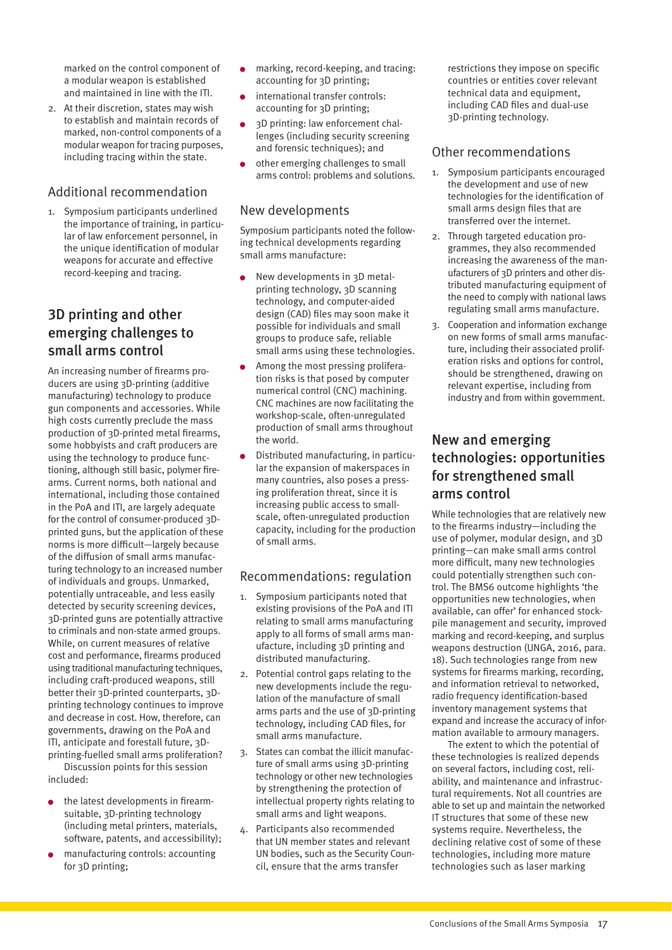<span id="page-16-0"></span>marked on the control component of a modular weapon is established and maintained in line with the ITI.

2. At their discretion, states may wish to establish and maintain records of marked, non-control components of a modular weapon for tracing purposes, including tracing within the state.

### Additional recommendation

1. Symposium participants underlined the importance of training, in particular of law enforcement personnel, in the unique identification of modular weapons for accurate and effective record-keeping and tracing.

### 3D printing and other emerging challenges to small arms control

An increasing number of firearms producers are using 3D-printing (additive manufacturing) technology to produce gun components and accessories. While high costs currently preclude the mass production of 3D-printed metal firearms, some hobbyists and craft producers are using the technology to produce functioning, although still basic, polymer firearms. Current norms, both national and international, including those contained in the PoA and ITI, are largely adequate for the control of consumer-produced 3Dprinted guns, but the application of these norms is more difficult—largely because of the diffusion of small arms manufacturing technology to an increased number of individuals and groups. Unmarked, potentially untraceable, and less easily detected by security screening devices, 3D-printed guns are potentially attractive to criminals and non-state armed groups. While, on current measures of relative cost and performance, firearms produced using traditional manufacturing techniques, including craft-produced weapons, still better their 3D-printed counterparts, 3Dprinting technology continues to improve and decrease in cost. How, therefore, can governments, drawing on the PoA and ITI, anticipate and forestall future, 3Dprinting-fuelled small arms proliferation?

Discussion points for this session included:

- the latest developments in firearmsuitable, 3D-printing technology (including metal printers, materials, software, patents, and accessibility);
- manufacturing controls: accounting for 3D printing;
- marking, record-keeping, and tracing: accounting for 3D printing;
- international transfer controls: accounting for 3D printing;
- 3D printing: law enforcement challenges (including security screening and forensic techniques); and
- other emerging challenges to small arms control: problems and solutions.

#### New developments

Symposium participants noted the following technical developments regarding small arms manufacture:

- New developments in 3D metalprinting technology, 3D scanning technology, and computer-aided design (CAD) files may soon make it possible for individuals and small groups to produce safe, reliable small arms using these technologies.
- Among the most pressing proliferation risks is that posed by computer numerical control (CNC) machining. CNC machines are now facilitating the workshop-scale, often-unregulated production of small arms throughout the world.
- Distributed manufacturing, in particular the expansion of makerspaces in many countries, also poses a pressing proliferation threat, since it is increasing public access to smallscale, often-unregulated production capacity, including for the production of small arms.

### Recommendations: regulation

- 1. Symposium participants noted that existing provisions of the PoA and ITI relating to small arms manufacturing apply to all forms of small arms manufacture, including 3D printing and distributed manufacturing.
- 2. Potential control gaps relating to the new developments include the regulation of the manufacture of small arms parts and the use of 3D-printing technology, including CAD files, for small arms manufacture.
- 3. States can combat the illicit manufacture of small arms using 3D-printing technology or other new technologies by strengthening the protection of intellectual property rights relating to small arms and light weapons.
- 4. Participants also recommended that UN member states and relevant UN bodies, such as the Security Council, ensure that the arms transfer

restrictions they impose on specific countries or entities cover relevant technical data and equipment, including CAD files and dual-use 3D-printing technology.

#### Other recommendations

- 1. Symposium participants encouraged the development and use of new technologies for the identification of small arms design files that are transferred over the internet.
- 2. Through targeted education programmes, they also recommended increasing the awareness of the manufacturers of 3D printers and other distributed manufacturing equipment of the need to comply with national laws regulating small arms manufacture.
- 3. Cooperation and information exchange on new forms of small arms manufacture, including their associated proliferation risks and options for control, should be strengthened, drawing on relevant expertise, including from industry and from within government.

### New and emerging technologies: opportunities for strengthened small arms control

While technologies that are relatively new to the firearms industry—including the use of polymer, modular design, and 3D printing—can make small arms control more difficult, many new technologies could potentially strengthen such control. The BMS6 outcome highlights 'the opportunities new technologies, when available, can offer' for enhanced stockpile management and security, improved marking and record-keeping, and surplus weapons destruction (UNGA, 2016, para. 18). Such technologies range from new systems for firearms marking, recording, and information retrieval to networked, radio frequency identification-based inventory management systems that expand and increase the accuracy of information available to armoury managers.

The extent to which the potential of these technologies is realized depends on several factors, including cost, reliability, and maintenance and infrastructural requirements. Not all countries are able to set up and maintain the networked IT structures that some of these new systems require. Nevertheless, the declining relative cost of some of these technologies, including more mature technologies such as laser marking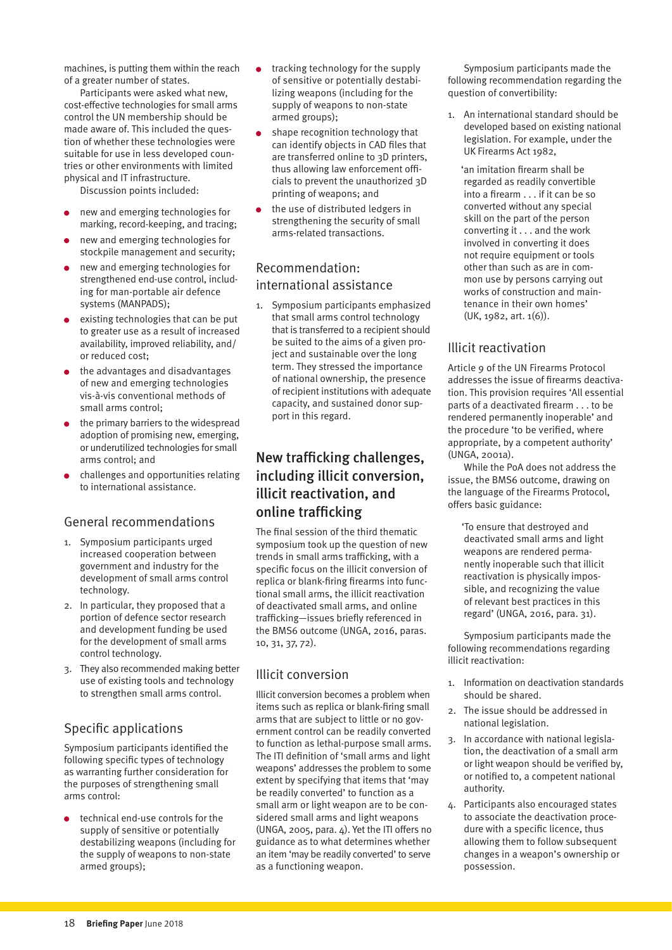<span id="page-17-0"></span>machines, is putting them within the reach of a greater number of states.

Participants were asked what new, cost-effective technologies for small arms control the UN membership should be made aware of. This included the question of whether these technologies were suitable for use in less developed countries or other environments with limited physical and IT infrastructure.

Discussion points included:

- new and emerging technologies for marking, record-keeping, and tracing;
- new and emerging technologies for stockpile management and security;
- new and emerging technologies for strengthened end-use control, including for man-portable air defence systems (MANPADS);
- existing technologies that can be put to greater use as a result of increased availability, improved reliability, and/ or reduced cost;
- the advantages and disadvantages of new and emerging technologies vis-à-vis conventional methods of small arms control;
- the primary barriers to the widespread adoption of promising new, emerging, or underutilized technologies for small arms control; and
- challenges and opportunities relating to international assistance.

#### General recommendations

- 1. Symposium participants urged increased cooperation between government and industry for the development of small arms control technology.
- 2. In particular, they proposed that a portion of defence sector research and development funding be used for the development of small arms control technology.
- 3. They also recommended making better use of existing tools and technology to strengthen small arms control.

### Specific applications

Symposium participants identified the following specific types of technology as warranting further consideration for the purposes of strengthening small arms control:

technical end-use controls for the supply of sensitive or potentially destabilizing weapons (including for the supply of weapons to non-state armed groups);

- tracking technology for the supply of sensitive or potentially destabilizing weapons (including for the supply of weapons to non-state armed groups);
- shape recognition technology that can identify objects in CAD files that are transferred online to 3D printers, thus allowing law enforcement officials to prevent the unauthorized 3D printing of weapons; and
- the use of distributed ledgers in strengthening the security of small arms-related transactions.

### Recommendation: international assistance

1. Symposium participants emphasized that small arms control technology that is transferred to a recipient should be suited to the aims of a given project and sustainable over the long term. They stressed the importance of national ownership, the presence of recipient institutions with adequate capacity, and sustained donor support in this regard.

### New trafficking challenges, including illicit conversion, illicit reactivation, and online trafficking

The final session of the third thematic symposium took up the question of new trends in small arms trafficking, with a specific focus on the illicit conversion of replica or blank-firing firearms into functional small arms, the illicit reactivation of deactivated small arms, and online trafficking—issues briefly referenced in the BMS6 outcome (UNGA, 2016, paras. 10, 31, 37, 72).

### Illicit conversion

Illicit conversion becomes a problem when items such as replica or blank-firing small arms that are subject to little or no government control can be readily converted to function as lethal-purpose small arms. The ITI definition of 'small arms and light weapons' addresses the problem to some extent by specifying that items that 'may be readily converted' to function as a small arm or light weapon are to be considered small arms and light weapons (UNGA, 2005, para. 4). Yet the ITI offers no guidance as to what determines whether an item 'may be readily converted' to serve as a functioning weapon.

Symposium participants made the following recommendation regarding the question of convertibility:

1. An international standard should be developed based on existing national legislation. For example, under the UK Firearms Act 1982,

 'an imitation firearm shall be regarded as readily convertible into a firearm . . . if it can be so converted without any special skill on the part of the person converting it . . . and the work involved in converting it does not require equipment or tools other than such as are in common use by persons carrying out works of construction and maintenance in their own homes' (UK, 1982, art. 1(6)).

### Illicit reactivation

Article 9 of the UN Firearms Protocol addresses the issue of firearms deactivation. This provision requires 'All essential parts of a deactivated firearm . . . to be rendered permanently inoperable' and the procedure 'to be verified, where appropriate, by a competent authority' (UNGA, 2001a).

While the PoA does not address the issue, the BMS6 outcome, drawing on the language of the Firearms Protocol, offers basic guidance:

 'To ensure that destroyed and deactivated small arms and light weapons are rendered permanently inoperable such that illicit reactivation is physically impossible, and recognizing the value of relevant best practices in this regard' (UNGA, 2016, para. 31).

Symposium participants made the following recommendations regarding illicit reactivation:

- 1. Information on deactivation standards should be shared.
- 2. The issue should be addressed in national legislation.
- 3. In accordance with national legislation, the deactivation of a small arm or light weapon should be verified by, or notified to, a competent national authority.
- 4. Participants also encouraged states to associate the deactivation procedure with a specific licence, thus allowing them to follow subsequent changes in a weapon's ownership or possession.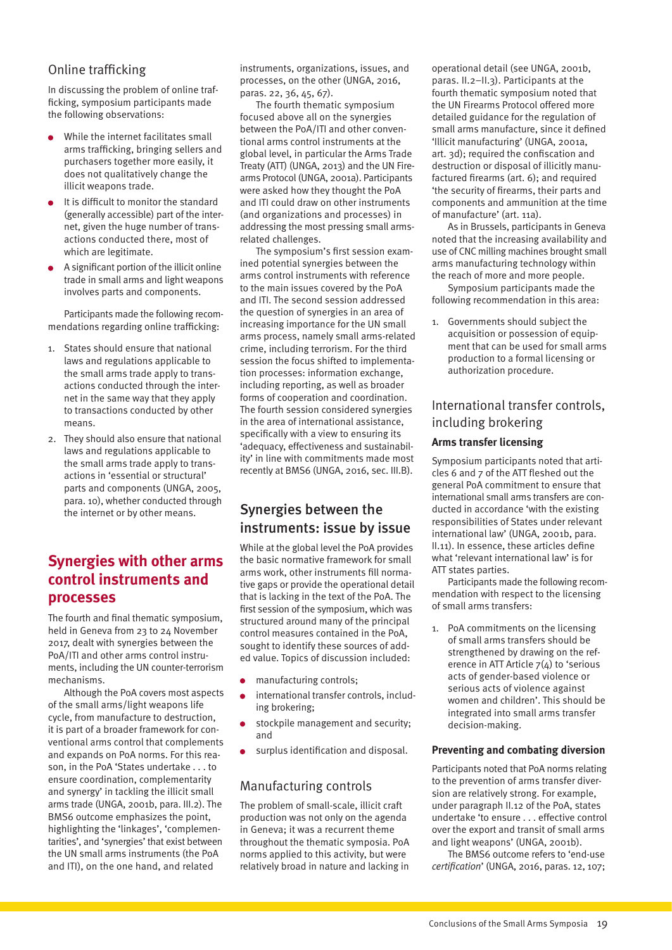### <span id="page-18-0"></span>Online trafficking

In discussing the problem of online trafficking, symposium participants made the following observations:

- While the internet facilitates small arms trafficking, bringing sellers and purchasers together more easily, it does not qualitatively change the illicit weapons trade.
- It is difficult to monitor the standard (generally accessible) part of the internet, given the huge number of transactions conducted there, most of which are legitimate.
- A significant portion of the illicit online trade in small arms and light weapons involves parts and components.

Participants made the following recommendations regarding online trafficking:

- 1. States should ensure that national laws and regulations applicable to the small arms trade apply to transactions conducted through the internet in the same way that they apply to transactions conducted by other means.
- 2. They should also ensure that national laws and regulations applicable to the small arms trade apply to transactions in 'essential or structural' parts and components (UNGA, 2005, para. 10), whether conducted through the internet or by other means.

### **Synergies with other arms control instruments and processes**

The fourth and final thematic symposium, held in Geneva from 23 to 24 November 2017, dealt with synergies between the PoA/ITI and other arms control instruments, including the UN counter-terrorism mechanisms.

Although the PoA covers most aspects of the small arms/light weapons life cycle, from manufacture to destruction, it is part of a broader framework for conventional arms control that complements and expands on PoA norms. For this reason, in the PoA 'States undertake . . . to ensure coordination, complementarity and synergy' in tackling the illicit small arms trade (UNGA, 2001b, para. III.2). The BMS6 outcome emphasizes the point, highlighting the 'linkages', 'complementarities', and 'synergies' that exist between the UN small arms instruments (the PoA and ITI), on the one hand, and related

instruments, organizations, issues, and processes, on the other (UNGA, 2016, paras. 22, 36, 45, 67).

The fourth thematic symposium focused above all on the synergies between the PoA/ITI and other conventional arms control instruments at the global level, in particular the Arms Trade Treaty (ATT) (UNGA, 2013) and the UN Firearms Protocol (UNGA, 2001a). Participants were asked how they thought the PoA and ITI could draw on other instruments (and organizations and processes) in addressing the most pressing small armsrelated challenges.

The symposium's first session examined potential synergies between the arms control instruments with reference to the main issues covered by the PoA and ITI. The second session addressed the question of synergies in an area of increasing importance for the UN small arms process, namely small arms-related crime, including terrorism. For the third session the focus shifted to implementation processes: information exchange, including reporting, as well as broader forms of cooperation and coordination. The fourth session considered synergies in the area of international assistance, specifically with a view to ensuring its 'adequacy, effectiveness and sustainability' in line with commitments made most recently at BMS6 (UNGA, 2016, sec. III.B).

### Synergies between the instruments: issue by issue

While at the global level the PoA provides the basic normative framework for small arms work, other instruments fill normative gaps or provide the operational detail that is lacking in the text of the PoA. The first session of the symposium, which was structured around many of the principal control measures contained in the PoA, sought to identify these sources of added value. Topics of discussion included:

- manufacturing controls;
- international transfer controls, including brokering;
- stockpile management and security; and
- surplus identification and disposal.

### Manufacturing controls

The problem of small-scale, illicit craft production was not only on the agenda in Geneva; it was a recurrent theme throughout the thematic symposia. PoA norms applied to this activity, but were relatively broad in nature and lacking in operational detail (see UNGA, 2001b, paras. II.2–II.3). Participants at the fourth thematic symposium noted that the UN Firearms Protocol offered more detailed guidance for the regulation of small arms manufacture, since it defined 'Illicit manufacturing' (UNGA, 2001a, art. 3d); required the confiscation and destruction or disposal of illicitly manufactured firearms (art. 6); and required 'the security of firearms, their parts and components and ammunition at the time of manufacture' (art. 11a).

As in Brussels, participants in Geneva noted that the increasing availability and use of CNC milling machines brought small arms manufacturing technology within the reach of more and more people.

Symposium participants made the following recommendation in this area:

1. Governments should subject the acquisition or possession of equipment that can be used for small arms production to a formal licensing or authorization procedure.

### International transfer controls, including brokering

#### **Arms transfer licensing**

Symposium participants noted that articles 6 and 7 of the ATT fleshed out the general PoA commitment to ensure that international small arms transfers are conducted in accordance 'with the existing responsibilities of States under relevant international law' (UNGA, 2001b, para. II.11). In essence, these articles define what 'relevant international law' is for ATT states parties.

Participants made the following recommendation with respect to the licensing of small arms transfers:

1. PoA commitments on the licensing of small arms transfers should be strengthened by drawing on the reference in ATT Article 7(4) to 'serious acts of gender-based violence or serious acts of violence against women and children'. This should be integrated into small arms transfer decision-making.

#### **Preventing and combating diversion**

Participants noted that PoA norms relating to the prevention of arms transfer diversion are relatively strong. For example, under paragraph II.12 of the PoA, states undertake 'to ensure . . . effective control over the export and transit of small arms and light weapons' (UNGA, 2001b).

The BMS6 outcome refers to 'end-use *certification*' (UNGA, 2016, paras. 12, 107;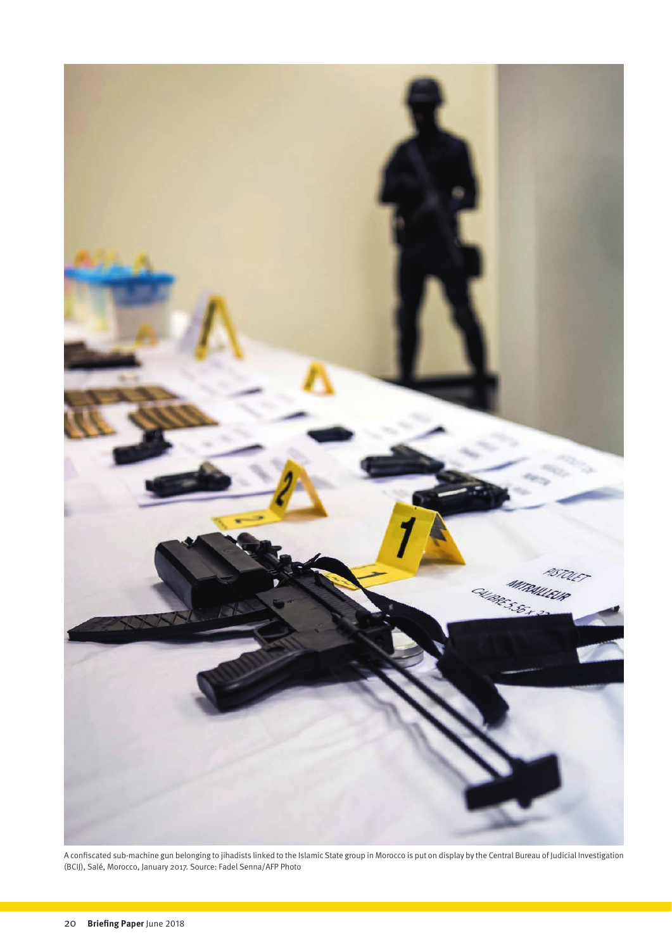

A confiscated sub-machine gun belonging to jihadists linked to the Islamic State group in Morocco is put on display by the Central Bureau of Judicial Investigation (BCIJ), Salé, Morocco, January 2017. Source: Fadel Senna/AFP Photo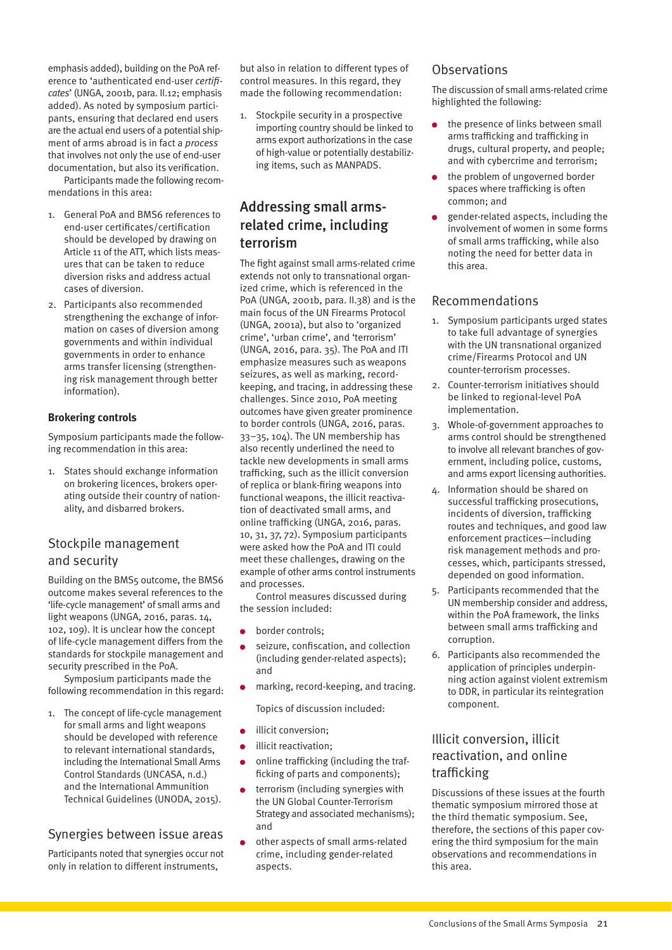<span id="page-20-0"></span>emphasis added), building on the PoA reference to 'authenticated end-user *certificates*' (UNGA, 2001b, para. II.12; emphasis added). As noted by symposium participants, ensuring that declared end users are the actual end users of a potential shipment of arms abroad is in fact a *process* that involves not only the use of end-user documentation, but also its verification. Participants made the following recom-

mendations in this area:

- 1. General PoA and BMS6 references to end-user certificates/certification should be developed by drawing on Article 11 of the ATT, which lists measures that can be taken to reduce diversion risks and address actual cases of diversion.
- 2. Participants also recommended strengthening the exchange of information on cases of diversion among governments and within individual governments in order to enhance arms transfer licensing (strengthening risk management through better information).

#### **Brokering controls**

Symposium participants made the following recommendation in this area:

1. States should exchange information on brokering licences, brokers operating outside their country of nationality, and disbarred brokers.

### Stockpile management and security

Building on the BMS5 outcome, the BMS6 outcome makes several references to the 'life-cycle management' of small arms and light weapons (UNGA, 2016, paras. 14, 102, 109). It is unclear how the concept of life-cycle management differs from the standards for stockpile management and security prescribed in the PoA.

Symposium participants made the following recommendation in this regard:

1. The concept of life-cycle management for small arms and light weapons should be developed with reference to relevant international standards, including the International Small Arms Control Standards (UNCASA, n.d.) and the International Ammunition Technical Guidelines (UNODA, 2015).

### Synergies between issue areas

Participants noted that synergies occur not only in relation to different instruments,

but also in relation to different types of control measures. In this regard, they made the following recommendation:

1. Stockpile security in a prospective importing country should be linked to arms export authorizations in the case of high-value or potentially destabilizing items, such as MANPADS.

### Addressing small armsrelated crime, including terrorism

The fight against small arms-related crime extends not only to transnational organized crime, which is referenced in the PoA (UNGA, 2001b, para. II.38) and is the main focus of the UN Firearms Protocol (UNGA, 2001a), but also to 'organized crime', 'urban crime', and 'terrorism' (UNGA, 2016, para. 35). The PoA and ITI emphasize measures such as weapons seizures, as well as marking, recordkeeping, and tracing, in addressing these challenges. Since 2010, PoA meeting outcomes have given greater prominence to border controls (UNGA, 2016, paras. 33–35, 104). The UN membership has also recently underlined the need to tackle new developments in small arms trafficking, such as the illicit conversion of replica or blank-firing weapons into functional weapons, the illicit reactivation of deactivated small arms, and online trafficking (UNGA, 2016, paras. 10, 31, 37, 72). Symposium participants were asked how the PoA and ITI could meet these challenges, drawing on the example of other arms control instruments and processes.

Control measures discussed during the session included:

- border controls;
- seizure, confiscation, and collection (including gender-related aspects); and
- marking, record-keeping, and tracing.

Topics of discussion included:

- $\bullet$  illicit conversion:
- **·** illicit reactivation;
- online trafficking (including the trafficking of parts and components);
- terrorism (including synergies with the UN Global Counter-Terrorism Strategy and associated mechanisms); and
- other aspects of small arms-related crime, including gender-related aspects.

#### **Observations**

The discussion of small arms-related crime highlighted the following:

- the presence of links between small arms trafficking and trafficking in drugs, cultural property, and people; and with cybercrime and terrorism;
- the problem of ungoverned border spaces where trafficking is often common; and
- gender-related aspects, including the involvement of women in some forms of small arms trafficking, while also noting the need for better data in this area.

#### Recommendations

- 1. Symposium participants urged states to take full advantage of synergies with the UN transnational organized crime/Firearms Protocol and UN counter-terrorism processes.
- 2. Counter-terrorism initiatives should be linked to regional-level PoA implementation.
- 3. Whole-of-government approaches to arms control should be strengthened to involve all relevant branches of government, including police, customs, and arms export licensing authorities.
- 4. Information should be shared on successful trafficking prosecutions, incidents of diversion, trafficking routes and techniques, and good law enforcement practices—including risk management methods and processes, which, participants stressed, depended on good information.
- 5. Participants recommended that the UN membership consider and address, within the PoA framework, the links between small arms trafficking and corruption.
- 6. Participants also recommended the application of principles underpinning action against violent extremism to DDR, in particular its reintegration component.

### Illicit conversion, illicit reactivation, and online trafficking

Discussions of these issues at the fourth thematic symposium mirrored those at the third thematic symposium. See, therefore, the sections of this paper covering the third symposium for the main observations and recommendations in this area.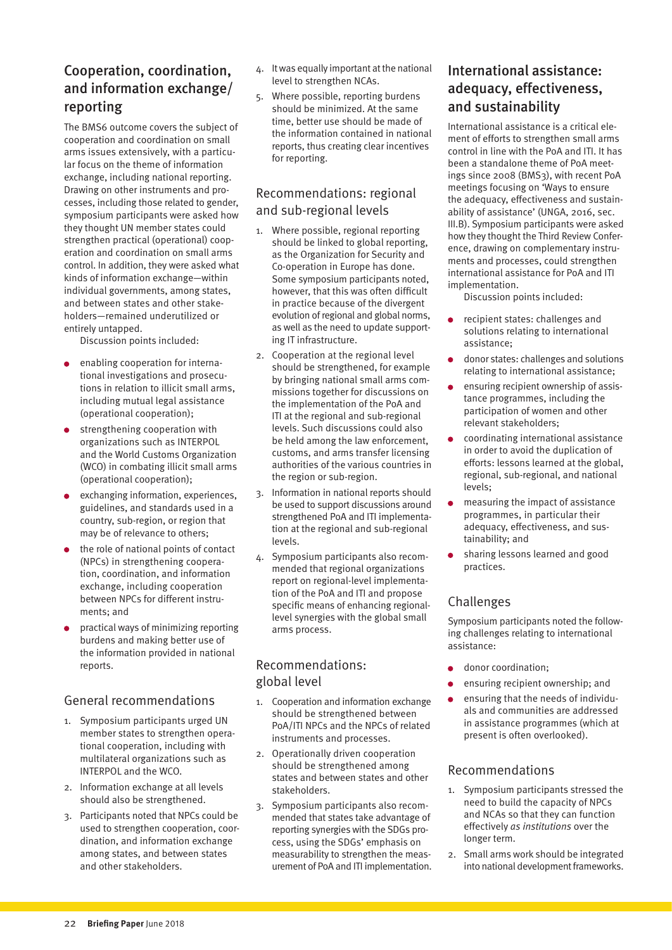### <span id="page-21-0"></span>Cooperation, coordination, and information exchange/ reporting

The BMS6 outcome covers the subject of cooperation and coordination on small arms issues extensively, with a particular focus on the theme of information exchange, including national reporting. Drawing on other instruments and processes, including those related to gender, symposium participants were asked how they thought UN member states could strengthen practical (operational) cooperation and coordination on small arms control. In addition, they were asked what kinds of information exchange—within individual governments, among states, and between states and other stakeholders—remained underutilized or entirely untapped.

Discussion points included:

- enabling cooperation for international investigations and prosecutions in relation to illicit small arms, including mutual legal assistance (operational cooperation);
- strengthening cooperation with organizations such as INTERPOL and the World Customs Organization (WCO) in combating illicit small arms (operational cooperation);
- exchanging information, experiences, guidelines, and standards used in a country, sub-region, or region that may be of relevance to others;
- the role of national points of contact (NPCs) in strengthening cooperation, coordination, and information exchange, including cooperation between NPCs for different instruments; and
- practical ways of minimizing reporting burdens and making better use of the information provided in national reports.

### General recommendations

- 1. Symposium participants urged UN member states to strengthen operational cooperation, including with multilateral organizations such as INTERPOL and the WCO.
- 2. Information exchange at all levels should also be strengthened.
- 3. Participants noted that NPCs could be used to strengthen cooperation, coordination, and information exchange among states, and between states and other stakeholders.
- 4. It was equally important at the national level to strengthen NCAs.
- 5. Where possible, reporting burdens should be minimized. At the same time, better use should be made of the information contained in national reports, thus creating clear incentives for reporting.

### Recommendations: regional and sub-regional levels

- 1. Where possible, regional reporting should be linked to global reporting, as the Organization for Security and Co-operation in Europe has done. Some symposium participants noted, however, that this was often difficult in practice because of the divergent evolution of regional and global norms, as well as the need to update supporting IT infrastructure.
- 2. Cooperation at the regional level should be strengthened, for example by bringing national small arms commissions together for discussions on the implementation of the PoA and ITI at the regional and sub-regional levels. Such discussions could also be held among the law enforcement, customs, and arms transfer licensing authorities of the various countries in the region or sub-region.
- 3. Information in national reports should be used to support discussions around strengthened PoA and ITI implementation at the regional and sub-regional levels.
- 4. Symposium participants also recommended that regional organizations report on regional-level implementation of the PoA and ITI and propose specific means of enhancing regionallevel synergies with the global small arms process.

### Recommendations: global level

- 1. Cooperation and information exchange should be strengthened between PoA/ITI NPCs and the NPCs of related instruments and processes.
- 2. Operationally driven cooperation should be strengthened among states and between states and other stakeholders.
- 3. Symposium participants also recommended that states take advantage of reporting synergies with the SDGs process, using the SDGs' emphasis on measurability to strengthen the measurement of PoA and ITI implementation.

### International assistance: adequacy, effectiveness, and sustainability

International assistance is a critical element of efforts to strengthen small arms control in line with the PoA and ITI. It has been a standalone theme of PoA meetings since 2008 (BMS3), with recent PoA meetings focusing on 'Ways to ensure the adequacy, effectiveness and sustainability of assistance' (UNGA, 2016, sec. III.B). Symposium participants were asked how they thought the Third Review Conference, drawing on complementary instruments and processes, could strengthen international assistance for PoA and ITI implementation.

Discussion points included:

- recipient states: challenges and solutions relating to international assistance;
- donor states: challenges and solutions relating to international assistance;
- ensuring recipient ownership of assistance programmes, including the participation of women and other relevant stakeholders;
- coordinating international assistance  $\bullet$ in order to avoid the duplication of efforts: lessons learned at the global, regional, sub-regional, and national levels;
- measuring the impact of assistance  $\bullet$ programmes, in particular their adequacy, effectiveness, and sustainability; and
- sharing lessons learned and good practices.

### Challenges

Symposium participants noted the following challenges relating to international assistance:

- donor coordination;
- ensuring recipient ownership; and
- ensuring that the needs of individuals and communities are addressed in assistance programmes (which at present is often overlooked).

### Recommendations

- 1. Symposium participants stressed the need to build the capacity of NPCs and NCAs so that they can function effectively *as institutions* over the longer term.
- 2. Small arms work should be integrated into national development frameworks.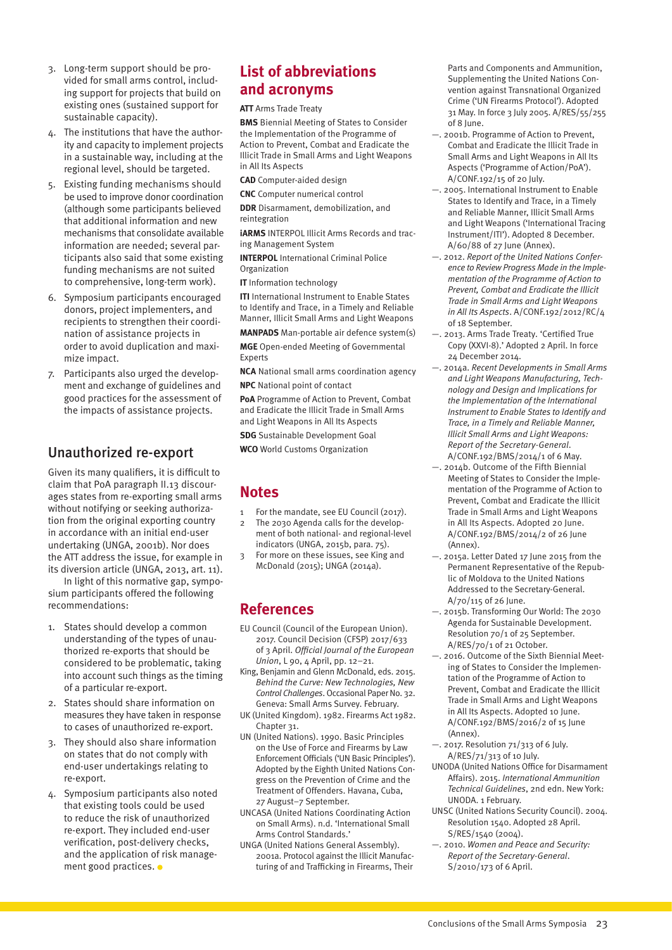- <span id="page-22-0"></span>3. Long-term support should be provided for small arms control, including support for projects that build on existing ones (sustained support for sustainable capacity).
- 4. The institutions that have the authority and capacity to implement projects in a sustainable way, including at the regional level, should be targeted.
- 5. Existing funding mechanisms should be used to improve donor coordination (although some participants believed that additional information and new mechanisms that consolidate available information are needed; several participants also said that some existing funding mechanisms are not suited to comprehensive, long-term work).
- 6. Symposium participants encouraged donors, project implementers, and recipients to strengthen their coordination of assistance projects in order to avoid duplication and maximize impact.
- 7. Participants also urged the development and exchange of guidelines and good practices for the assessment of the impacts of assistance projects.

### Unauthorized re-export

Given its many qualifiers, it is difficult to claim that PoA paragraph II.13 discourages states from re-exporting small arms without notifying or seeking authorization from the original exporting country in accordance with an initial end-user undertaking (UNGA, 2001b). Nor does the ATT address the issue, for example in its diversion article (UNGA, 2013, art. 11).

In light of this normative gap, symposium participants offered the following recommendations:

- 1. States should develop a common understanding of the types of unauthorized re-exports that should be considered to be problematic, taking into account such things as the timing of a particular re-export.
- 2. States should share information on measures they have taken in response to cases of unauthorized re-export.
- 3. They should also share information on states that do not comply with end-user undertakings relating to re-export.
- 4. Symposium participants also noted that existing tools could be used to reduce the risk of unauthorized re-export. They included end-user verification, post-delivery checks, and the application of risk management good practices.

### **List of abbreviations and acronyms**

**ATT** Arms Trade Treaty

**BMS** Biennial Meeting of States to Consider the Implementation of the Programme of Action to Prevent, Combat and Eradicate the Illicit Trade in Small Arms and Light Weapons in All Its Aspects

**CAD** Computer-aided design

**CNC** Computer numerical control

**DDR** Disarmament, demobilization, and reintegration

**iARMS** INTERPOL Illicit Arms Records and tracing Management System

**INTERPOL** International Criminal Police Organization

**IT** Information technology

**ITI** International Instrument to Enable States to Identify and Trace, in a Timely and Reliable Manner, Illicit Small Arms and Light Weapons

**MANPADS** Man-portable air defence system(s) **MGE** Open-ended Meeting of Governmental **Experts** 

**NCA** National small arms coordination agency **NPC** National point of contact

**PoA** Programme of Action to Prevent, Combat and Eradicate the Illicit Trade in Small Arms and Light Weapons in All Its Aspects **SDG** Sustainable Development Goal

**WCO** World Customs Organization

### **Notes**

- 1 For the mandate, see EU Council (2017).
- 2 The 2030 Agenda calls for the development of both national- and regional-level indicators (UNGA, 2015b, para. 75).
- 3 For more on these issues, see King and McDonald (2015); UNGA (2014a).

### **References**

- EU Council (Council of the European Union). 2017. Council Decision (CFSP) 2017/633 of 3 April. *Official Journal of the European Union*, L 90, 4 April, pp. 12–21.
- King, Benjamin and Glenn McDonald, eds. 2015. *[Behind the Curve: New Technologies, New](http://www.smallarmssurvey.org/fileadmin/docs/B-Occasional-papers/SAS-OP32-Behind-the-Curve.pdf)  [Control Challenges](http://www.smallarmssurvey.org/fileadmin/docs/B-Occasional-papers/SAS-OP32-Behind-the-Curve.pdf)*. Occasional Paper No. 32. Geneva: Small Arms Survey. February.
- UK (United Kingdom). 1982. [Firearms Act 1982.](https://www.legislation.gov.uk/ukpga/1982/31/contents) Chanter 31
- UN (United Nations). 1990. [Basic Principles](http://www.ohchr.org/EN/ProfessionalInterest/Pages/UseOfForceAndFirearms.aspx)  [on the Use of Force and Firearms by Law](http://www.ohchr.org/EN/ProfessionalInterest/Pages/UseOfForceAndFirearms.aspx)  Enforcement Officials [\('UN Basic Principles'\).](http://www.ohchr.org/EN/ProfessionalInterest/Pages/UseOfForceAndFirearms.aspx)  Adopted by the Eighth United Nations Congress on the Prevention of Crime and the Treatment of Offenders. Havana, Cuba, 27 August–7 September.
- UNCASA (United Nations Coordinating Action on Small Arms). n.d. ['International Small](http://www.smallarmsstandards.org/)  [Arms Control Standards.'](http://www.smallarmsstandards.org/)
- UNGA (United Nations General Assembly). 2001a. [Protocol against the Illicit Manufac](http://www.unodc.org/pdf/crime/a_res_55/255e.pdf)[turing of and Trafficking in Firearms, Their](http://www.unodc.org/pdf/crime/a_res_55/255e.pdf)

[Parts and Components and Ammunition,](http://www.unodc.org/pdf/crime/a_res_55/255e.pdf)  [Supplementing the United Nations Con](http://www.unodc.org/pdf/crime/a_res_55/255e.pdf)[vention against Transnational Organized](http://www.unodc.org/pdf/crime/a_res_55/255e.pdf)  [Crime \('UN Firearms Protocol'\). A](http://www.unodc.org/pdf/crime/a_res_55/255e.pdf)dopted 31 May. In force 3 July 2005. A/RES/55/255 of 8 June.

- —. 2001b. [Programme of Action to Prevent,](http://www.poa-iss.org/PoA/PoA.aspx)  [Combat and Eradicate the Illicit Trade in](http://www.poa-iss.org/PoA/PoA.aspx)  [Small Arms and Light Weapons in All Its](http://www.poa-iss.org/PoA/PoA.aspx)  [Aspects \('Programme of Action/PoA'\).](http://www.poa-iss.org/PoA/PoA.aspx)  A/CONF.192/15 of 20 July.
- —. 2005. [International Instrument to Enable](http://www.poa-iss.org/InternationalTracing/InternationalTracing.aspx)  [States to Identify and Trace, in a Timely](http://www.poa-iss.org/InternationalTracing/InternationalTracing.aspx)  [and Reliable Manner, Illicit Small Arms](http://www.poa-iss.org/InternationalTracing/InternationalTracing.aspx)  [and Light Weapons \('International Tracing](http://www.poa-iss.org/InternationalTracing/InternationalTracing.aspx)  [Instrument/ITI'\).](http://www.poa-iss.org/InternationalTracing/InternationalTracing.aspx) Adopted 8 December. A/60/88 of 27 June (Annex).
- —. 2012. *[Report of the United Nations Confer](http://www.poa-iss.org/RevCon2/Documents/RevCon-DOC/Outcome/PoA-RevCon2-Outcome-E.pdf)[ence to Review Progress Made in the Imple](http://www.poa-iss.org/RevCon2/Documents/RevCon-DOC/Outcome/PoA-RevCon2-Outcome-E.pdf)[mentation of the Programme of Action to](http://www.poa-iss.org/RevCon2/Documents/RevCon-DOC/Outcome/PoA-RevCon2-Outcome-E.pdf)  [Prevent, Combat and Eradicate the Illicit](http://www.poa-iss.org/RevCon2/Documents/RevCon-DOC/Outcome/PoA-RevCon2-Outcome-E.pdf)  [Trade in Small Arms and Light Weapons](http://www.poa-iss.org/RevCon2/Documents/RevCon-DOC/Outcome/PoA-RevCon2-Outcome-E.pdf)  [in All Its Aspects](http://www.poa-iss.org/RevCon2/Documents/RevCon-DOC/Outcome/PoA-RevCon2-Outcome-E.pdf)*. A/CONF.192/2012/RC/4 of 18 September.
- —. 2013. Arms Trade Treaty. ['Certified True](https://treaties.un.org/Pages/ViewDetails.aspx?src=IND&mtdsg_no=XXVI-8&chapter=26&clang=_en)  [Copy \(XXVI-8\).'](https://treaties.un.org/Pages/ViewDetails.aspx?src=IND&mtdsg_no=XXVI-8&chapter=26&clang=_en) Adopted 2 April. In force 24 December 2014.
- —. 2014a. *[Recent Developments in Small Arms](http://www.un-arm.org/BMS5/)  [and Light Weapons Manufacturing, Tech](http://www.un-arm.org/BMS5/)[nology and Design and Implications for](http://www.un-arm.org/BMS5/)  [the Implementation of the International](http://www.un-arm.org/BMS5/)  [Instrument to Enable States to Identify and](http://www.un-arm.org/BMS5/)  [Trace, in a Timely and Reliable Manner,](http://www.un-arm.org/BMS5/)  [Illicit Small Arms and Light Weapons:](http://www.un-arm.org/BMS5/)  [Report of the Secretary-General](http://www.un-arm.org/BMS5/)*. A/CONF.192/BMS/2014/1 of 6 May.
- —. 2014b. [Outcome of the Fifth Biennial](http://www.un-arm.org/BMS5/)  [Meeting of States to Consider the Imple](http://www.un-arm.org/BMS5/)[mentation of the Programme of Action to](http://www.un-arm.org/BMS5/)  [Prevent, Combat and Eradicate the Illicit](http://www.un-arm.org/BMS5/)  [Trade in Small Arms and Light Weapons](http://www.un-arm.org/BMS5/)  [in All Its Aspects.](http://www.un-arm.org/BMS5/) Adopted 20 June. A/CONF.192/BMS/2014/2 of 26 June (Annex).
- —. 2015a. [Letter Dated 17 June 2015 from the](http://undocs.org/A/70/115)  [Permanent Representative of the Repub](http://undocs.org/A/70/115)[lic of Moldova to the United Nations](http://undocs.org/A/70/115)  [Addressed to the Secretary-General.](http://undocs.org/A/70/115) A/70/115 of 26 June.
- —. 2015b. [Transforming Our World: The 2030](http://www.un.org/ga/search/view_doc.asp?symbol=A/RES/70/1&Lang=E)  [Agenda for Sustainable Development.](http://www.un.org/ga/search/view_doc.asp?symbol=A/RES/70/1&Lang=E)  Resolution 70/1 of 25 September. A/RES/70/1 of 21 October.
- —. 2016. [Outcome of the Sixth Biennial Meet](https://www.un.org/disarmament/bms6/)[ing of States to Consider the Implemen](https://www.un.org/disarmament/bms6/)[tation of the Programme of Action to](https://www.un.org/disarmament/bms6/)  [Prevent, Combat and Eradicate the Illicit](https://www.un.org/disarmament/bms6/)  [Trade in Small Arms and Light Weapons](https://www.un.org/disarmament/bms6/)  [in All Its Aspects.](https://www.un.org/disarmament/bms6/) Adopted 10 June. A/CONF.192/BMS/2016/2 of 15 June (Annex).
- —. 2017. [Resolution 71/313 of 6 July.](http://www.un.org/en/ga/search/view_doc.asp?symbol=A/RES/71/313)  A/RES/71/313 of 10 July.
- UNODA (United Nations Office for Disarmament Affairs). 2015. *[International Ammunition](https://www.un.org/disarmament/un-saferguard/guide-lines)  [Technical Guidelines](https://www.un.org/disarmament/un-saferguard/guide-lines)*, 2nd edn. New York: UNODA. 1 February.
- UNSC (United Nations Security Council). 2004. [Resolution 1540. A](http://www.un.org/ga/search/view_doc.asp?symbol=S/RES/1540%20(2004)&referer=/english/&Lang=E)dopted 28 April. S/RES/1540 (2004).
- —. 2010. *[Women and Peace and Security:](http://www.un.org/en/ga/search/view_doc.asp?symbol=S/2010/173)  [Report of the Secretary-General](http://www.un.org/en/ga/search/view_doc.asp?symbol=S/2010/173)*. S/2010/173 of 6 April.